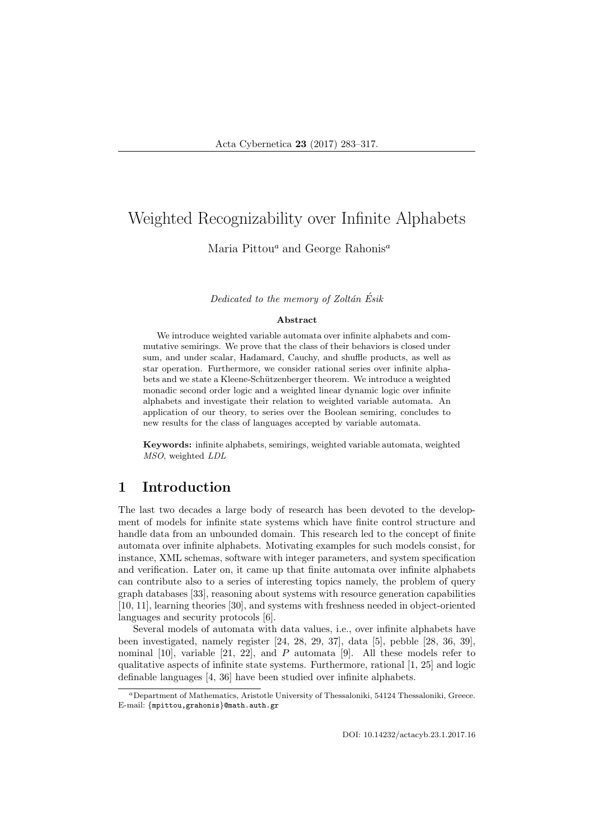### Maria Pittou<sup>a</sup> and George Rahonis<sup>a</sup>

Dedicated to the memory of Zoltán  $\tilde{E}$ sik

#### Abstract

We introduce weighted variable automata over infinite alphabets and commutative semirings. We prove that the class of their behaviors is closed under sum, and under scalar, Hadamard, Cauchy, and shuffle products, as well as star operation. Furthermore, we consider rational series over infinite alphabets and we state a Kleene-Schützenberger theorem. We introduce a weighted monadic second order logic and a weighted linear dynamic logic over infinite alphabets and investigate their relation to weighted variable automata. An application of our theory, to series over the Boolean semiring, concludes to new results for the class of languages accepted by variable automata.

Keywords: infinite alphabets, semirings, weighted variable automata, weighted MSO, weighted LDL

## 1 Introduction

The last two decades a large body of research has been devoted to the development of models for infinite state systems which have finite control structure and handle data from an unbounded domain. This research led to the concept of finite automata over infinite alphabets. Motivating examples for such models consist, for instance, XML schemas, software with integer parameters, and system specification and verification. Later on, it came up that finite automata over infinite alphabets can contribute also to a series of interesting topics namely, the problem of query graph databases [33], reasoning about systems with resource generation capabilities [10, 11], learning theories [30], and systems with freshness needed in object-oriented languages and security protocols [6].

Several models of automata with data values, i.e., over infinite alphabets have been investigated, namely register [24, 28, 29, 37], data [5], pebble [28, 36, 39], nominal  $[10]$ , variable  $[21, 22]$ , and P automata  $[9]$ . All these models refer to qualitative aspects of infinite state systems. Furthermore, rational [1, 25] and logic definable languages [4, 36] have been studied over infinite alphabets.

<sup>a</sup>Department of Mathematics, Aristotle University of Thessaloniki, 54124 Thessaloniki, Greece. E-mail: {mpittou,grahonis}@math.auth.gr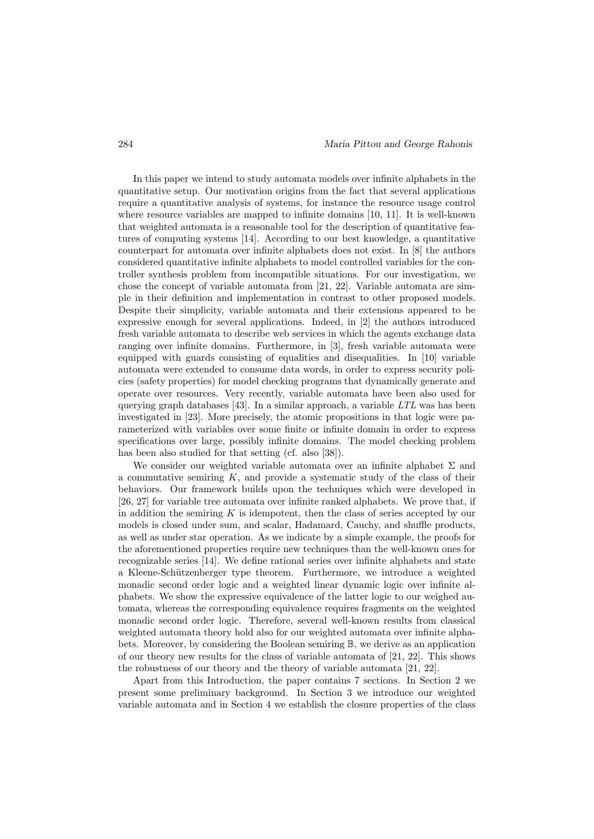In this paper we intend to study automata models over infinite alphabets in the quantitative setup. Our motivation origins from the fact that several applications require a quantitative analysis of systems, for instance the resource usage control where resource variables are mapped to infinite domains [10, 11]. It is well-known that weighted automata is a reasonable tool for the description of quantitative features of computing systems [14]. According to our best knowledge, a quantitative counterpart for automata over infinite alphabets does not exist. In [8] the authors considered quantitative infinite alphabets to model controlled variables for the controller synthesis problem from incompatible situations. For our investigation, we chose the concept of variable automata from [21, 22]. Variable automata are simple in their definition and implementation in contrast to other proposed models. Despite their simplicity, variable automata and their extensions appeared to be expressive enough for several applications. Indeed, in [2] the authors introduced fresh variable automata to describe web services in which the agents exchange data ranging over infinite domains. Furthermore, in [3], fresh variable automata were equipped with guards consisting of equalities and disequalities. In [10] variable automata were extended to consume data words, in order to express security policies (safety properties) for model checking programs that dynamically generate and operate over resources. Very recently, variable automata have been also used for querying graph databases [43]. In a similar approach, a variable  $LTL$  was has been investigated in [23]. More precisely, the atomic propositions in that logic were parameterized with variables over some finite or infinite domain in order to express specifications over large, possibly infinite domains. The model checking problem has been also studied for that setting (cf. also [38]).

We consider our weighted variable automata over an infinite alphabet  $\Sigma$  and a commutative semiring  $K$ , and provide a systematic study of the class of their behaviors. Our framework builds upon the techniques which were developed in [26, 27] for variable tree automata over infinite ranked alphabets. We prove that, if in addition the semiring  $K$  is idempotent, then the class of series accepted by our models is closed under sum, and scalar, Hadamard, Cauchy, and shuffle products, as well as under star operation. As we indicate by a simple example, the proofs for the aforementioned properties require new techniques than the well-known ones for recognizable series [14]. We define rational series over infinite alphabets and state a Kleene-Schützenberger type theorem. Furthermore, we introduce a weighted monadic second order logic and a weighted linear dynamic logic over infinite alphabets. We show the expressive equivalence of the latter logic to our weighed automata, whereas the corresponding equivalence requires fragments on the weighted monadic second order logic. Therefore, several well-known results from classical weighted automata theory hold also for our weighted automata over infinite alphabets. Moreover, by considering the Boolean semiring B, we derive as an application of our theory new results for the class of variable automata of [21, 22]. This shows the robustness of our theory and the theory of variable automata [21, 22].

Apart from this Introduction, the paper contains 7 sections. In Section 2 we present some preliminary background. In Section 3 we introduce our weighted variable automata and in Section 4 we establish the closure properties of the class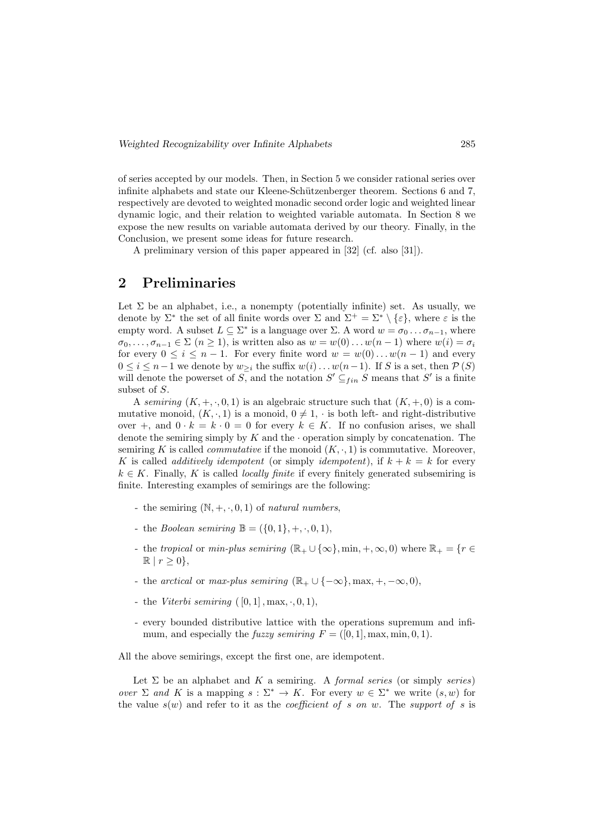of series accepted by our models. Then, in Section 5 we consider rational series over infinite alphabets and state our Kleene-Schützenberger theorem. Sections 6 and 7, respectively are devoted to weighted monadic second order logic and weighted linear dynamic logic, and their relation to weighted variable automata. In Section 8 we expose the new results on variable automata derived by our theory. Finally, in the Conclusion, we present some ideas for future research.

A preliminary version of this paper appeared in [32] (cf. also [31]).

## 2 Preliminaries

Let  $\Sigma$  be an alphabet, i.e., a nonempty (potentially infinite) set. As usually, we denote by  $\Sigma^*$  the set of all finite words over  $\Sigma$  and  $\Sigma^+ = \Sigma^* \setminus {\varepsilon}$ , where  $\varepsilon$  is the empty word. A subset  $L \subseteq \Sigma^*$  is a language over  $\Sigma$ . A word  $w = \sigma_0 \dots \sigma_{n-1}$ , where  $\sigma_0, \ldots, \sigma_{n-1} \in \Sigma$   $(n \geq 1)$ , is written also as  $w = w(0) \ldots w(n-1)$  where  $w(i) = \sigma_i$ for every  $0 \leq i \leq n-1$ . For every finite word  $w = w(0) \dots w(n-1)$  and every  $0 \leq i \leq n-1$  we denote by  $w_{\geq i}$  the suffix  $w(i) \dots w(n-1)$ . If S is a set, then  $\mathcal{P}(S)$ will denote the powerset of  $S$ , and the notation  $S' \subseteq_{fin} S$  means that  $S'$  is a finite subset of S.

A semiring  $(K, +, \cdot, 0, 1)$  is an algebraic structure such that  $(K, +, 0)$  is a commutative monoid,  $(K, \cdot, 1)$  is a monoid,  $0 \neq 1$ ,  $\cdot$  is both left- and right-distributive over +, and  $0 \cdot k = k \cdot 0 = 0$  for every  $k \in K$ . If no confusion arises, we shall denote the semiring simply by K and the  $\cdot$  operation simply by concatenation. The semiring K is called *commutative* if the monoid  $(K, \cdot, 1)$  is commutative. Moreover, K is called *additively idempotent* (or simply *idempotent*), if  $k + k = k$  for every  $k \in K$ . Finally, K is called *locally finite* if every finitely generated subsemiring is finite. Interesting examples of semirings are the following:

- the semiring  $(N, +, \cdot, 0, 1)$  of natural numbers,
- the *Boolean semiring*  $\mathbb{B} = (\{0, 1\}, +, \cdot, 0, 1),$
- the tropical or min-plus semiring  $(\mathbb{R}_+ \cup \{\infty\}, \min, +, \infty, 0)$  where  $\mathbb{R}_+ = \{r \in$  $\mathbb{R} \mid r \geq 0$ ,
- the arctical or max-plus semiring  $(\mathbb{R}_{+} \cup \{-\infty\}, \max, +, -\infty, 0),$
- the Viterbi semiring  $([0,1], \max, \cdot, 0, 1)$ ,
- every bounded distributive lattice with the operations supremum and infimum, and especially the *fuzzy semiring*  $F = ([0, 1], \max, \min, 0, 1)$ .

All the above semirings, except the first one, are idempotent.

Let  $\Sigma$  be an alphabet and  $K$  a semiring. A *formal series* (or simply *series*) over  $\Sigma$  and K is a mapping  $s : \Sigma^* \to K$ . For every  $w \in \Sigma^*$  we write  $(s, w)$  for the value  $s(w)$  and refer to it as the *coefficient of s on w.* The *support of s* is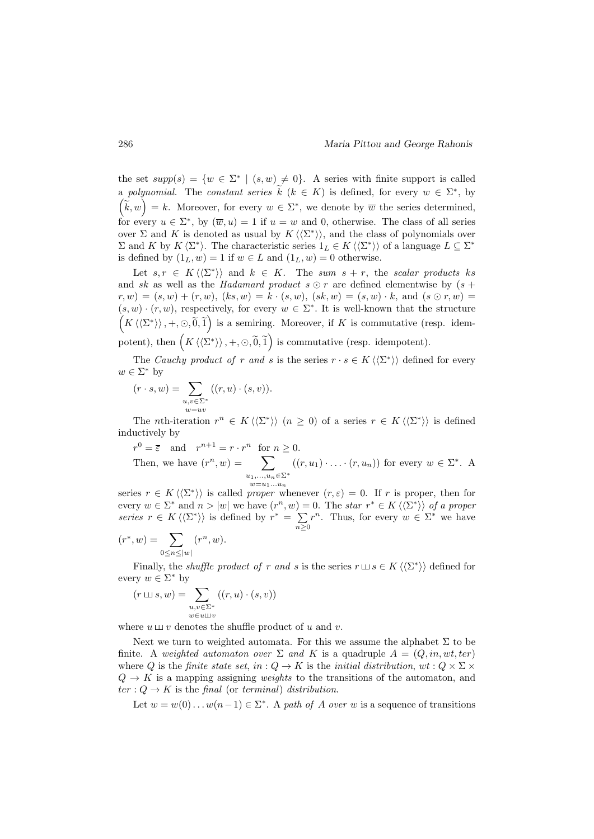the set  $supp(s) = \{w \in \Sigma^* \mid (s, w) \neq 0\}$ . A series with finite support is called a polynomial. The constant series  $\hat{k}$   $(k \in K)$  is defined, for every  $w \in \Sigma^*$ , by  $(\tilde{k}, w) = k$ . Moreover, for every  $w \in \Sigma^*$ , we denote by  $\overline{w}$  the series determined, for every  $u \in \Sigma^*$ , by  $(\overline{w}, u) = 1$  if  $u = w$  and 0, otherwise. The class of all series over  $\Sigma$  and K is denoted as usual by  $K \langle\langle\Sigma^*\rangle\rangle$ , and the class of polynomials over  $\Sigma$  and K by  $K \langle \Sigma^* \rangle$ . The characteristic series  $1_L \in K \langle \langle \Sigma^* \rangle \rangle$  of a language  $L \subseteq \Sigma^*$ is defined by  $(1_L, w) = 1$  if  $w \in L$  and  $(1_L, w) = 0$  otherwise.

Let  $s, r \in K \langle \langle \Sigma^* \rangle \rangle$  and  $k \in K$ . The sum  $s + r$ , the scalar products ks and sk as well as the Hadamard product  $s \odot r$  are defined elementwise by  $(s +$  $r, w) = (s, w) + (r, w), (ks, w) = k \cdot (s, w), (sk, w) = (s, w) \cdot k, \text{ and } (s \odot r, w) =$  $(s, w) \cdot (r, w)$ , respectively, for every  $w \in \Sigma^*$ . It is well-known that the structure  $\left(K\left\langle\left\langle\Sigma^*\right\rangle\right\rangle, +, \odot, \widetilde{0}, \widetilde{1}\right)$  is a semiring. Moreover, if K is commutative (resp. idempotent), then  $\left(K\left\langle\left\langle \Sigma^*\right\rangle\right\rangle, +, \odot, \widetilde{0}, \widetilde{1}\right)$  is commutative (resp. idempotent).

The Cauchy product of r and s is the series  $r \cdot s \in K \langle \langle \Sigma^* \rangle \rangle$  defined for every  $w \in \Sigma^*$  by

$$
(r \cdot s, w) = \sum_{\substack{u, v \in \Sigma^* \\ w = uv}} ((r, u) \cdot (s, v)).
$$

The *n*th-iteration  $r^n \in K \langle \langle \Sigma^* \rangle \rangle$   $(n \geq 0)$  of a series  $r \in K \langle \langle \Sigma^* \rangle \rangle$  is defined inductively by

$$
r^{0} = \overline{\varepsilon} \text{ and } r^{n+1} = r \cdot r^{n} \text{ for } n \ge 0.
$$
  
Then, we have  $(r^{n}, w) = \sum_{\substack{u_1, \dots, u_n \in \Sigma^* \\ w = u_1 \dots u_n}} ((r, u_1) \cdot \dots \cdot (r, u_n))$  for every  $w \in \Sigma^*$ . A

series  $r \in K \langle \langle \Sigma^* \rangle \rangle$  is called proper whenever  $(r, \varepsilon) = 0$ . If r is proper, then for every  $w \in \Sigma^*$  and  $n > |w|$  we have  $(r^n, w) = 0$ . The star  $r^* \in K \langle\langle\Sigma^*\rangle\rangle$  of a proper series  $r \in K \langle \langle \Sigma^* \rangle \rangle$  is defined by  $r^* = \sum$  $n \geq 0$  $r^n$ . Thus, for every  $w \in \Sigma^*$  we have

$$
(r^*, w) = \sum_{0 \le n \le |w|} (r^n, w).
$$

Finally, the *shuffle product of r and s* is the series  $r \sqcup s \in K \langle \langle \Sigma^* \rangle \rangle$  defined for every  $w \in \Sigma^*$  by

$$
(r \sqcup s, w) = \sum_{\substack{u,v \in \Sigma^* \\ w \in u \sqcup v}} ((r, u) \cdot (s, v))
$$

where  $u \sqcup v$  denotes the shuffle product of u and v.

Next we turn to weighted automata. For this we assume the alphabet  $\Sigma$  to be finite. A weighted automaton over  $\Sigma$  and K is a quadruple  $A = (Q, in, wt, ter)$ where Q is the finite state set, in :  $Q \to K$  is the initial distribution, wt :  $Q \times \Sigma$  $Q \rightarrow K$  is a mapping assigning *weights* to the transitions of the automaton, and  $ter: Q \to K$  is the final (or terminal) distribution.

Let  $w = w(0) \dots w(n-1) \in \Sigma^*$ . A path of A over w is a sequence of transitions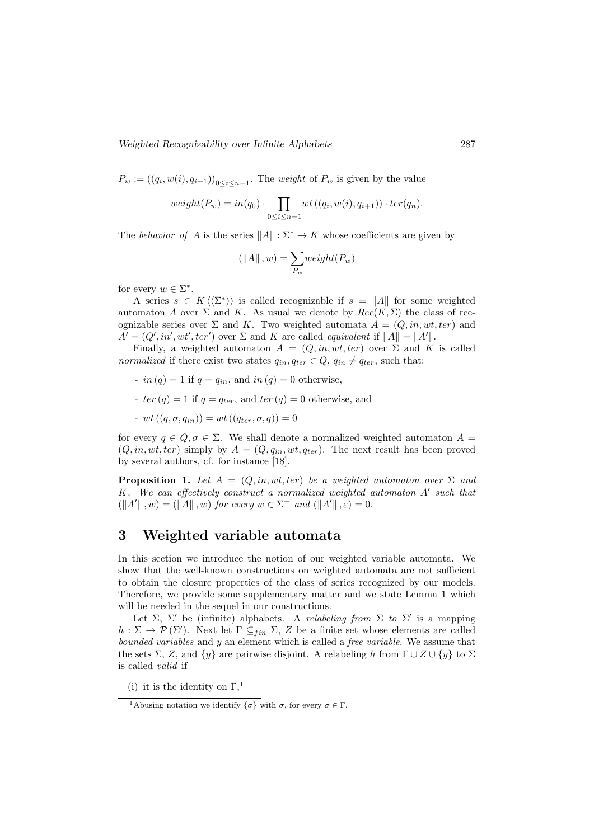$P_w := ((q_i, w(i), q_{i+1}))_{0 \leq i \leq n-1}$ . The *weight* of  $P_w$  is given by the value

$$
weight(P_w) = in(q_0) \cdot \prod_{0 \leq i \leq n-1} wt((q_i, w(i), q_{i+1})) \cdot ter(q_n).
$$

The behavior of A is the series  $||A||: \Sigma^* \to K$  whose coefficients are given by

$$
\left(\left\|A\right\|,w\right)=\sum_{P_w} weight(P_w)
$$

for every  $w \in \Sigma^*$ .

A series  $s \in K \langle \langle \Sigma^* \rangle \rangle$  is called recognizable if  $s = ||A||$  for some weighted automaton A over  $\Sigma$  and K. As usual we denote by  $Rec(K, \Sigma)$  the class of recognizable series over  $\Sigma$  and K. Two weighted automata  $A = (Q, in, wt, ter)$  and  $A' = (Q', in', wt', ter')$  over  $\Sigma$  and  $K$  are called *equivalent* if  $||A|| = ||A'||$ .

Finally, a weighted automaton  $A = (Q, in, wt, ter)$  over  $\Sigma$  and K is called normalized if there exist two states  $q_{in}$ ,  $q_{ter} \in Q$ ,  $q_{in} \neq q_{ter}$ , such that:

- in  $(q) = 1$  if  $q = q_{in}$ , and in  $(q) = 0$  otherwise,
- ter  $(q) = 1$  if  $q = q_{ter}$ , and ter  $(q) = 0$  otherwise, and
- $wt((q, \sigma, q_{in})) = wt((q_{ter}, \sigma, q)) = 0$

for every  $q \in Q$ ,  $\sigma \in \Sigma$ . We shall denote a normalized weighted automaton  $A =$  $(Q, in, wt, ter)$  simply by  $A = (Q, q_{in}, wt, q_{ter})$ . The next result has been proved by several authors, cf. for instance [18].

**Proposition 1.** Let  $A = (Q, in, wt, ter)$  be a weighted automaton over  $\Sigma$  and  $K$ . We can effectively construct a normalized weighted automaton  $A'$  such that  $(||A'||, w) = (||A||, w)$  for every  $w \in \Sigma^+$  and  $(||A'||, \varepsilon) = 0$ .

## 3 Weighted variable automata

In this section we introduce the notion of our weighted variable automata. We show that the well-known constructions on weighted automata are not sufficient to obtain the closure properties of the class of series recognized by our models. Therefore, we provide some supplementary matter and we state Lemma 1 which will be needed in the sequel in our constructions.

Let  $\Sigma$ ,  $\Sigma'$  be (infinite) alphabets. A *relabeling from*  $\Sigma$  to  $\Sigma'$  is a mapping  $h: \Sigma \to \mathcal{P}(\Sigma')$ . Next let  $\Gamma \subseteq_{fin} \Sigma$ , Z be a finite set whose elements are called bounded variables and y an element which is called a free variable. We assume that the sets  $\Sigma$ , Z, and  $\{y\}$  are pairwise disjoint. A relabeling h from  $\Gamma \cup Z \cup \{y\}$  to  $\Sigma$ is called valid if

<sup>(</sup>i) it is the identity on  $\Gamma$ ,<sup>1</sup>

<sup>&</sup>lt;sup>1</sup>Abusing notation we identify  $\{\sigma\}$  with  $\sigma$ , for every  $\sigma \in \Gamma$ .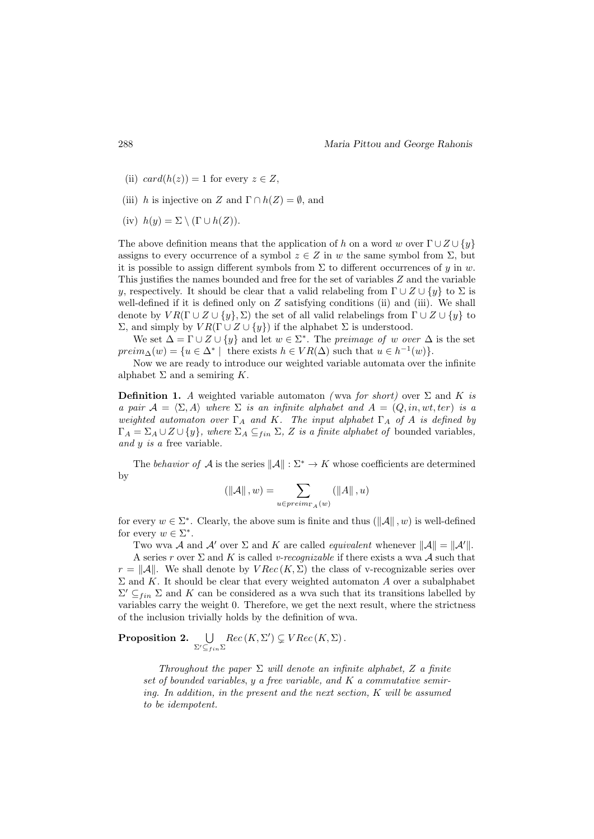- (ii)  $card(h(z)) = 1$  for every  $z \in Z$ ,
- (iii) h is injective on Z and  $\Gamma \cap h(Z) = \emptyset$ , and
- (iv)  $h(y) = \Sigma \setminus (\Gamma \cup h(Z)).$

The above definition means that the application of h on a word w over  $\Gamma \cup Z \cup \{y\}$ assigns to every occurrence of a symbol  $z \in Z$  in w the same symbol from  $\Sigma$ , but it is possible to assign different symbols from  $\Sigma$  to different occurrences of y in w. This justifies the names bounded and free for the set of variables  $Z$  and the variable y, respectively. It should be clear that a valid relabeling from  $\Gamma \cup Z \cup \{y\}$  to  $\Sigma$  is well-defined if it is defined only on  $Z$  satisfying conditions (ii) and (iii). We shall denote by  $VR(\Gamma \cup Z \cup \{y\}, \Sigma)$  the set of all valid relabelings from  $\Gamma \cup Z \cup \{y\}$  to  $Σ$ , and simply by  $VR(Γ ∪ Z ∪ {y})$  if the alphabet  $Σ$  is understood.

We set  $\Delta = \Gamma \cup Z \cup \{y\}$  and let  $w \in \Sigma^*$ . The preimage of w over  $\Delta$  is the set  $preim_{\Delta}(w) = \{u \in \Delta^* \mid \text{ there exists } h \in VR(\Delta) \text{ such that } u \in h^{-1}(w)\}.$ 

Now we are ready to introduce our weighted variable automata over the infinite alphabet  $\Sigma$  and a semiring  $K$ .

**Definition 1.** A weighted variable automaton (wva for short) over  $\Sigma$  and K is a pair  $\mathcal{A} = \langle \Sigma, A \rangle$  where  $\Sigma$  is an infinite alphabet and  $A = (Q, in, wt, ter)$  is a weighted automaton over  $\Gamma_A$  and K. The input alphabet  $\Gamma_A$  of A is defined by  $\Gamma_A = \Sigma_A \cup Z \cup \{y\},$  where  $\Sigma_A \subseteq_{fin} \Sigma$ , Z is a finite alphabet of bounded variables, and y is a free variable.

The behavior of A is the series  $\|\mathcal{A}\| : \Sigma^* \to K$  whose coefficients are determined by

$$
\left(\left\|\mathcal{A}\right\|, w\right) = \sum_{u \in preim_{\Gamma_A}(w)} \left(\left\|A\right\|, u\right)
$$

for every  $w \in \Sigma^*$ . Clearly, the above sum is finite and thus  $(\Vert \mathcal{A} \Vert, w)$  is well-defined for every  $w \in \Sigma^*$ .

Two wva A and A' over  $\Sigma$  and K are called *equivalent* whenever  $||A|| = ||A'||$ .

A series r over  $\Sigma$  and K is called v-recognizable if there exists a wva A such that  $r = ||\mathcal{A}||$ . We shall denote by  $VRec(K, \Sigma)$  the class of v-recognizable series over  $\Sigma$  and K. It should be clear that every weighted automaton A over a subalphabet  $\Sigma' \subseteq_{fin} \Sigma$  and K can be considered as a wva such that its transitions labelled by variables carry the weight 0. Therefore, we get the next result, where the strictness of the inclusion trivially holds by the definition of wva.

Proposition 2.  $\bigcup$  $\Sigma'\subseteq_{fin}\Sigma$  $Rec(K, \Sigma') \subsetneq VRec(K, \Sigma).$ 

> Throughout the paper  $\Sigma$  will denote an infinite alphabet, Z a finite set of bounded variables,  $y$  a free variable, and  $K$  a commutative semiring. In addition, in the present and the next section, K will be assumed to be idempotent.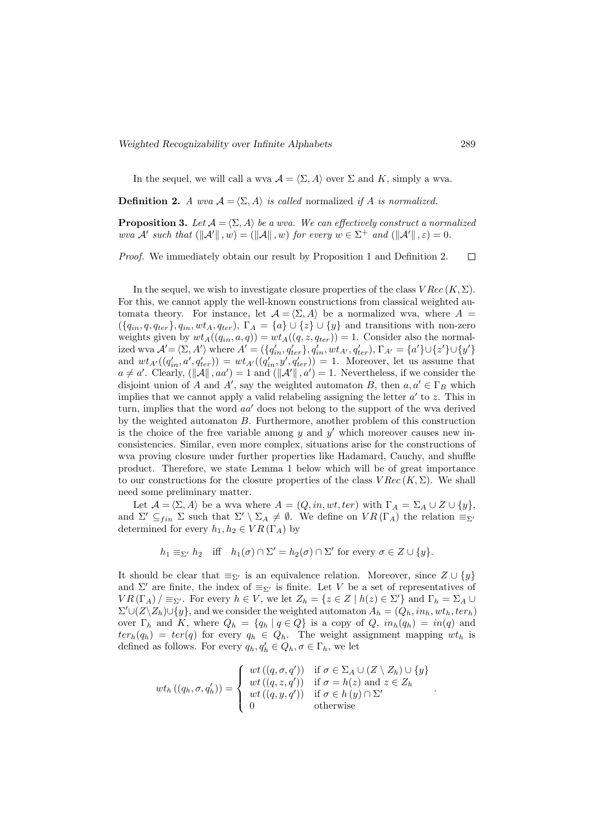In the sequel, we will call a wva  $\mathcal{A} = \langle \Sigma, A \rangle$  over  $\Sigma$  and K, simply a wva.

**Definition 2.** A wva  $A = \langle \Sigma, A \rangle$  is called normalized if A is normalized.

**Proposition 3.** Let  $A = \langle \Sigma, A \rangle$  be a wva. We can effectively construct a normalized wva A' such that  $(\Vert A \Vert, w) = (\Vert A \Vert, w)$  for every  $w \in \Sigma^+$  and  $(\Vert A \Vert, \varepsilon) = 0$ .

Proof. We immediately obtain our result by Proposition 1 and Definition 2.  $\Box$ 

In the sequel, we wish to investigate closure properties of the class  $VRec(K, \Sigma)$ . For this, we cannot apply the well-known constructions from classical weighted automata theory. For instance, let  $\mathcal{A} = \langle \Sigma, A \rangle$  be a normalized wva, where  $A =$  $({q_{in}, q, q_{ter}}, q_{in}, wt_A, q_{ter}), \Gamma_A = {a} \cup {z} \cup {y}$  and transitions with non-zero weights given by  $wt_A((q_{in}, a, q)) = wt_A((q, z, q_{ter})) = 1$ . Consider also the normalized wva  $\mathcal{A}' = \langle \Sigma, A' \rangle$  where  $A' = (\{q'_{in}, q'_{ter}\}, q'_{in}, wt_{A'}, q'_{ter}), \Gamma_{A'} = \{a'\} \cup \{z'\} \cup \{y'\}$ and  $wt_{A}((q'_{in}, a', q'_{ter})) = wt_{A'}((q'_{in}, y', q'_{ter})) = 1$ . Moreover, let us assume that  $a \neq a'$ . Clearly,  $(\Vert \mathcal{A} \Vert, aa') = 1$  and  $(\Vert \mathcal{A}' \Vert, a') = 1$ . Nevertheless, if we consider the disjoint union of A and A', say the weighted automaton B, then  $a, a' \in \Gamma_B$  which implies that we cannot apply a valid relabeling assigning the letter  $a'$  to z. This in turn, implies that the word  $aa'$  does not belong to the support of the wva derived by the weighted automaton B. Furthermore, another problem of this construction is the choice of the free variable among  $y$  and  $y'$  which moreover causes new inconsistencies. Similar, even more complex, situations arise for the constructions of wva proving closure under further properties like Hadamard, Cauchy, and shuffle product. Therefore, we state Lemma 1 below which will be of great importance to our constructions for the closure properties of the class  $VRec(K, \Sigma)$ . We shall need some preliminary matter.

Let  $\mathcal{A} = \langle \Sigma, A \rangle$  be a wva where  $A = (Q, in, wt, ter)$  with  $\Gamma_A = \Sigma_A \cup Z \cup \{y\},\$ and  $\Sigma' \subseteq_{fin} \Sigma$  such that  $\Sigma' \setminus \Sigma_A \neq \emptyset$ . We define on  $VR(\Gamma_A)$  the relation  $\equiv_{\Sigma'}$ determined for every  $h_1, h_2 \in VR(\Gamma_A)$  by

$$
h_1 \equiv_{\Sigma'} h_2
$$
 iff  $h_1(\sigma) \cap \Sigma' = h_2(\sigma) \cap \Sigma'$  for every  $\sigma \in Z \cup \{y\}$ .

It should be clear that  $\equiv_{\Sigma'}$  is an equivalence relation. Moreover, since  $Z \cup \{y\}$ and  $\Sigma'$  are finite, the index of  $\equiv_{\Sigma'}$  is finite. Let V be a set of representatives of  $VR(\Gamma_A)/\equiv_{\Sigma'}$ . For every  $h \in V$ , we let  $Z_h = \{z \in Z \mid h(z) \in \Sigma'\}$  and  $\Gamma_h = \Sigma_A \cup$  $\Sigma' \cup (\overline{Z} \setminus Z_h) \cup \{y\}$ , and we consider the weighted automaton  $A_h = (Q_h, in_h, wt_h, ter_h)$ over  $\Gamma_h$  and K, where  $Q_h = \{q_h | q \in Q\}$  is a copy of  $Q$ ,  $in_h(q_h) = in(q)$  and  $ter_h(q_h) = ter(q)$  for every  $q_h \in Q_h$ . The weight assignment mapping  $wt_h$  is defined as follows. For every  $q_h, q'_h \in Q_h, \sigma \in \Gamma_h$ , we let

$$
wt_h((q_h, \sigma, q'_h)) = \begin{cases} wt((q, \sigma, q')) & \text{if } \sigma \in \Sigma_A \cup (Z \setminus Z_h) \cup \{y\} \\ wt((q, z, q')) & \text{if } \sigma = h(z) \text{ and } z \in Z_h \\ wt((q, y, q')) & \text{if } \sigma \in h(y) \cap \Sigma' \\ 0 & \text{otherwise} \end{cases}
$$

.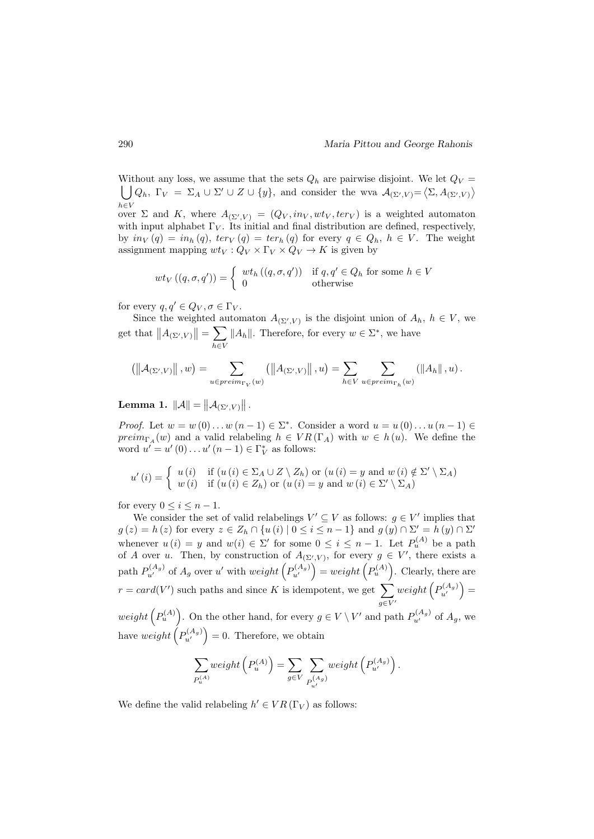Without any loss, we assume that the sets  $Q_h$  are pairwise disjoint. We let  $Q_V =$  $\bigcup Q_h, \ \Gamma_V = \Sigma_A \cup \Sigma' \cup Z \cup \{y\},\$ and consider the wva  $\mathcal{A}_{(\Sigma',V)} = \langle \Sigma, A_{(\Sigma',V)} \rangle$  $h\in V$ over  $\Sigma$  and K, where  $A_{(\Sigma', V)} = (Q_V, in_V, wt_V, ter_V)$  is a weighted automaton with input alphabet  $\Gamma_V$ . Its initial and final distribution are defined, respectively,

by  $in_V(q) = in_h(q)$ ,  $ter_V(q) = ter_h(q)$  for every  $q \in Q_h$ ,  $h \in V$ . The weight assignment mapping  $wt_V: Q_V \times \Gamma_V \times Q_V \to K$  is given by

$$
wt_V((q, \sigma, q')) = \begin{cases} wt_h((q, \sigma, q')) & \text{if } q, q' \in Q_h \text{ for some } h \in V \\ 0 & \text{otherwise} \end{cases}
$$

for every  $q, q' \in Q_V, \sigma \in \Gamma_V$ .

Since the weighted automaton  $A_{(\Sigma', V)}$  is the disjoint union of  $A_h$ ,  $h \in V$ , we get that  $||A_{(\Sigma', V)}|| = \sum$ h∈V  $||A_h||$ . Therefore, for every  $w \in \Sigma^*$ , we have

$$
\left(\left\|\mathcal{A}_{\left(\Sigma',V\right)}\right\|,w\right)=\sum_{u\in\mathit{preim}_{\Gamma_V}(w)}\left(\left\|A_{\left(\Sigma',V\right)}\right\|,u\right)=\sum_{h\in V}\sum_{u\in\mathit{preim}_{\Gamma_h}(w)}\left(\left\|A_h\right\|,u\right).
$$

Lemma 1.  $||A|| = ||A_{(\Sigma', V)}||$ .

*Proof.* Let  $w = w(0) \dots w(n-1) \in \Sigma^*$ . Consider a word  $u = u(0) \dots u(n-1) \in$  $preim_{\Gamma_A}(w)$  and a valid relabeling  $h \in VR(\Gamma_A)$  with  $w \in h(u)$ . We define the word  $u' = u'(0) \dots u'(n-1) \in \Gamma_V^*$  as follows:

$$
u'(i) = \begin{cases} u(i) & \text{if } (u(i) \in \Sigma_A \cup Z \setminus Z_h) \text{ or } (u(i) = y \text{ and } w(i) \notin \Sigma' \setminus \Sigma_A) \\ w(i) & \text{if } (u(i) \in Z_h) \text{ or } (u(i) = y \text{ and } w(i) \in \Sigma' \setminus \Sigma_A) \end{cases}
$$

for every  $0 \leq i \leq n-1$ .

We consider the set of valid relabelings  $V' \subseteq V$  as follows:  $g \in V'$  implies that  $g(z) = h(z)$  for every  $z \in Z_h \cap \{u(i) \mid 0 \le i \le n-1\}$  and  $g(y) \cap \Sigma' = h(y) \cap \Sigma'$ whenever  $u(i) = y$  and  $w(i) \in \Sigma'$  for some  $0 \leq i \leq n-1$ . Let  $P_u^{(A)}$  be a path of A over u. Then, by construction of  $A_{(\Sigma', V)}$ , for every  $g \in V'$ , there exists a path  $P_{u'}^{(A_g)}$  of  $A_g$  over u' with  $weight\left(P_{u'}^{(A_g)}\right) = weight\left(P_u^{(A)}\right)$ . Clearly, there are  $r = card(V')$  such paths and since K is idempotent, we get  $\sum$  $g\in V'$  $weight\left(P_{u'}^{(A_g)}\right) =$ weight  $(P_u^{(A)})$ . On the other hand, for every  $g \in V \setminus V'$  and path  $P_{u'}^{(A_g)}$  of  $A_g$ , we

have  $weight\left(P_{u'}^{(A_g)}\right) = 0$ . Therefore, we obtain

$$
\sum_{P_u^{(A)}} weight\left(P_u^{(A)}\right) = \sum_{g \in V} \sum_{P_{u'}^{(A_g)}} weight\left(P_{u'}^{(A_g)}\right).
$$

We define the valid relabeling  $h' \in VR(\Gamma_V)$  as follows: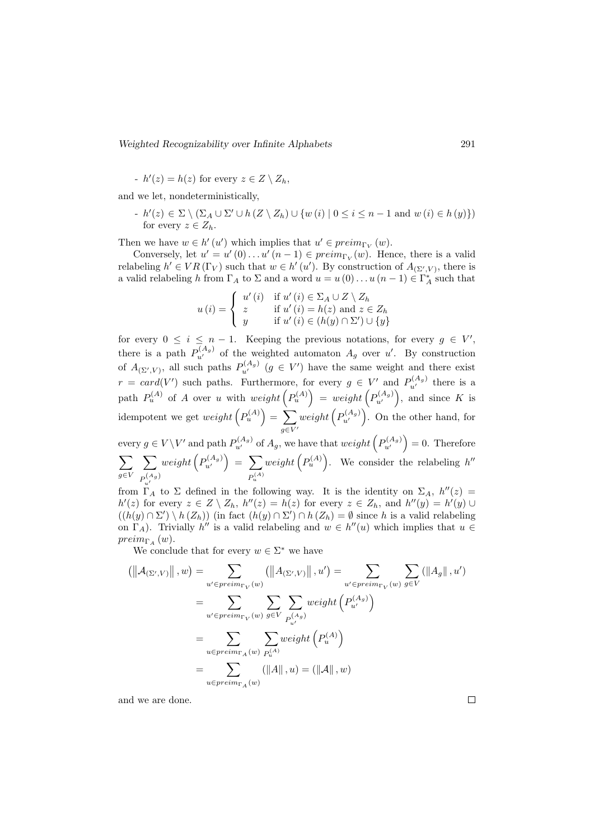-  $h'(z) = h(z)$  for every  $z \in Z \setminus Z_h$ ,

and we let, nondeterministically,

-  $h'(z) \in \Sigma \setminus (\Sigma_A \cup \Sigma' \cup h(Z \setminus Z_h) \cup \{w(i) \mid 0 \le i \le n-1 \text{ and } w(i) \in h(y)\})$ for every  $z \in Z_h$ .

Then we have  $w \in h'(u')$  which implies that  $u' \in preim_{\Gamma_V}(w)$ .

Conversely, let  $u' = u'(0) \dots u'(n-1) \in \text{preim}_{\Gamma_V}(w)$ . Hence, there is a valid relabeling  $h' \in VR(\Gamma_V)$  such that  $w \in h'(u')$ . By construction of  $A_{(\Sigma', V)}$ , there is a valid relabeling h from  $\Gamma_A$  to  $\Sigma$  and a word  $u = u(0) \dots u(n-1) \in \Gamma_A^*$  such that

$$
u(i) = \begin{cases} u'(i) & \text{if } u'(i) \in \Sigma_A \cup Z \setminus Z_h \\ z & \text{if } u'(i) = h(z) \text{ and } z \in Z_h \\ y & \text{if } u'(i) \in (h(y) \cap \Sigma') \cup \{y\} \end{cases}
$$

for every  $0 \leq i \leq n-1$ . Keeping the previous notations, for every  $g \in V'$ , there is a path  $P_{u'}^{(A_g)}$  of the weighted automaton  $A_g$  over u'. By construction of  $A_{(\Sigma', V)}$ , all such paths  $P_{u'}^{(A_g)}$   $(g \in V')$  have the same weight and there exist  $r = card(V')$  such paths. Furthermore, for every  $g \in V'$  and  $P_{u'}^{(A_g)}$  there is a path  $P_u^{(A)}$  of A over u with  $weight(P_u^{(A)}) = weight(P_{u'}^{(A_g)})$ , and since K is idempotent we get  $weight\left(P_u^{(A)}\right) = \sum$  $g\in V'$  $weight\left(P_{u'}^{(A_g)}\right)$ . On the other hand, for every  $g \in V \backslash V'$  and path  $P_{u'}^{(A_g)}$  of  $A_g$ , we have that  $weight\left(P_{u'}^{(A_g)}\right) = 0$ . Therefore  $\sum$ g∈V  $\sum$  $P^{(A_g)}_{u'}$  $weight\left(P_{u'}^{(A_g)}\right) = \sum$  $P_u^{(A)}$ weight  $(P_u^{(A)})$ . We consider the relabeling h''

from  $\Gamma_A$  to  $\Sigma$  defined in the following way. It is the identity on  $\Sigma_A$ ,  $h''(z)$  $h'(z)$  for every  $z \in Z \setminus Z_h$ ,  $h''(z) = h(z)$  for every  $z \in Z_h$ , and  $h''(y) = h'(y) \cup$  $((h(y) \cap \Sigma') \setminus h(Z_h))$  (in fact  $(h(y) \cap \Sigma') \cap h(Z_h) = \emptyset$  since h is a valid relabeling on  $\Gamma_A$ ). Trivially h'' is a valid relabeling and  $w \in h''(u)$  which implies that  $u \in$  $preim_{\Gamma_A}(w)$ .

We conclude that for every  $w \in \Sigma^*$  we have

$$
\left(\left\|\mathcal{A}_{\left(\Sigma',V\right)}\right\|,w\right) = \sum_{u' \in preim_{\Gamma_V}(w)} \left(\left\|\mathcal{A}_{\left(\Sigma',V\right)}\right\|, u'\right) = \sum_{u' \in preim_{\Gamma_V}(w)} \sum_{g \in V} \left(\left\|\mathcal{A}_g\right\|, u'\right)
$$

$$
= \sum_{u' \in preim_{\Gamma_V}(w)} \sum_{g \in V} \sum_{P_{u'}^{(A_g)}} weight\left(P_{u'}^{(A_g)}\right)
$$

$$
= \sum_{u \in preim_{\Gamma_A}(w)} \sum_{P_{u}^{(A)}} weight\left(P_{u}^{(A)}\right)
$$

$$
= \sum_{u \in preim_{\Gamma_A}(w)} (\left\|A\right\|, u) = \left(\left\|\mathcal{A}\right\|, w\right)
$$

and we are done.

 $\Box$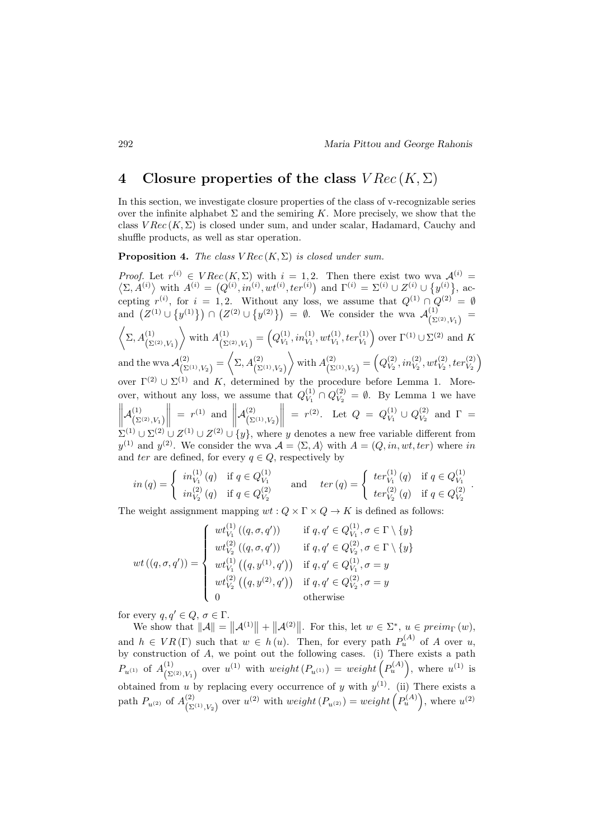## 4 Closure properties of the class  $VRec(K, \Sigma)$

In this section, we investigate closure properties of the class of v-recognizable series over the infinite alphabet  $\Sigma$  and the semiring K. More precisely, we show that the class  $VRec(K, \Sigma)$  is closed under sum, and under scalar, Hadamard, Cauchy and shuffle products, as well as star operation.

**Proposition 4.** The class  $VRec(K, \Sigma)$  is closed under sum.

*Proof.* Let  $r^{(i)} \in VRec(K,\Sigma)$  with  $i = 1,2$ . Then there exist two wva  $\mathcal{A}^{(i)}$  $\langle \Sigma, A^{(i)} \rangle$  with  $A^{(i)} = (Q^{(i)}, in^{(i)}, wt^{(i)}, ter^{(i)})$  and  $\Gamma^{(i)} = \Sigma^{(i)} \cup Z^{(i)} \cup \{y^{(i)}\},$  accepting  $r^{(i)}$ , for  $i = 1, 2$ . Without any loss, we assume that  $Q^{(1)} \cap Q^{(2)} = \emptyset$ and  $(Z^{(1)} \cup \{y^{(1)}\}) \cap (Z^{(2)} \cup \{y^{(2)}\}) = \emptyset$ . We consider the wva  $\mathcal{A}^{(1)}_{(S)}$  $\frac{1}{(\Sigma^{(2)},V_1)}$  =  $\left\langle \Sigma, A^{(1)}_{(\Sigma^{(2)}, V_1)} \right\rangle$ with  $A_{\left( \mathcal{S}\right) }^{\left( 1\right) }$  $\binom{(1)}{\sum^{(2)}, V_1} = \binom{Q_{V_1}^{(1)}}{V_1}$  $V_1^{(1)}, in_{V_1}^{(1)}, wt_{V_1}^{(1)}, ter_{V_1}^{(1)}$  over  $\Gamma^{(1)} \cup \Sigma^{(2)}$  and K and the wva  $\mathcal{A}^{(2)}_{(S)}$  $\left(\sum_{\Sigma^{(1)}, V_2}\right) = \left\langle \Sigma, A^{(2)}_{\left(\Sigma^{(1)}, V_2\right)} \right\rangle$  $\left\langle \right\rangle$  with  $A_{(S)}^{(2)}$  $\frac{\binom{2}{2}}{\binom{\sum^{(1)}, V_2}{ }} = \left( Q_{V_2}^{(2)} \right)$  $\left(\begin{smallmatrix} (2) \ V_2, inom{V_2}, wt_{V_2}^{(2)}, ter_{V_2}^{(2)} \end{smallmatrix}\right)$ over  $\Gamma^{(2)} \cup \Sigma^{(1)}$  and K, determined by the procedure before Lemma 1. Moreover, without any loss, we assume that  $Q_{V_1}^{(1)}$  $V_1^{(1)} \cap Q_{V_2}^{(2)}$  $V_2^{(2)} = \emptyset$ . By Lemma 1 we have  $\mathcal{A}^{(1)}_{\scriptscriptstyle\prime\rm\scriptscriptstyle\rm\!}$  $\left(\Sigma^{(2)}, V_1\right)$  $\parallel$  =  $r^{(1)}$  and  $\parallel$  $\mathcal{A}^{(2)}_{\scriptscriptstyle\prime\rm\scriptscriptstyle\rm\!}$  $\left(\Sigma^{(1)}, V_2\right)$  $= r^{(2)}$ . Let  $Q = Q_{V_1}^{(1)}$  $\frac{(1)}{V_1} \cup Q_{V_2}^{(2)}$  $V_2^{(2)}$  and  $\Gamma =$  $\Sigma^{(1)} \cup \Sigma^{(2)} \cup Z^{(1)} \cup Z^{(2)} \cup \{y\}$ , where y denotes a new free variable different from  $y^{(1)}$  and  $y^{(2)}$ . We consider the wva  $\mathcal{A} = \langle \Sigma, A \rangle$  with  $A = (Q, in, wt, ter)$  where in and ter are defined, for every  $q \in Q$ , respectively by

$$
in (q) = \begin{cases} in_{V_1}^{(1)}(q) & \text{if } q \in Q_{V_1}^{(1)} \\ in_{V_2}^{(2)}(q) & \text{if } q \in Q_{V_2}^{(2)} \end{cases} \quad \text{and} \quad ter (q) = \begin{cases} ter_{V_1}^{(1)}(q) & \text{if } q \in Q_{V_1}^{(1)} \\ ter_{V_2}^{(2)}(q) & \text{if } q \in Q_{V_2}^{(2)} \end{cases}.
$$

The weight assignment mapping  $wt: Q \times \Gamma \times Q \to K$  is defined as follows:

$$
wt((q, \sigma, q')) = \begin{cases} wt_{V_1}^{(1)}((q, \sigma, q')) & \text{if } q, q' \in Q_{V_1}^{(1)}, \sigma \in \Gamma \setminus \{y\} \\ wt_{V_2}^{(2)}((q, \sigma, q')) & \text{if } q, q' \in Q_{V_2}^{(2)}, \sigma \in \Gamma \setminus \{y\} \\ wt_{V_1}^{(1)}((q, y^{(1)}, q')) & \text{if } q, q' \in Q_{V_1}^{(1)}, \sigma = y \\ wt_{V_2}^{(2)}((q, y^{(2)}, q')) & \text{if } q, q' \in Q_{V_2}^{(2)}, \sigma = y \\ 0 & \text{otherwise} \end{cases}
$$

for every  $q, q' \in Q, \sigma \in \Gamma$ .

We show that  $||A|| = ||A^{(1)}|| + ||A^{(2)}||$ . For this, let  $w \in \Sigma^*$ ,  $u \in \text{preim}_{\Gamma}(w)$ , and  $h \in VR(\Gamma)$  such that  $w \in h(u)$ . Then, for every path  $P_u^{(A)}$  of A over u, by construction of A, we point out the following cases. (i) There exists a path  $P_{u^{(1)}}$  of  $A_{(\Sigma)}^{(1)}$ (1) over  $u^{(1)}$  with  $weight(P_{u^{(1)}}) = weight(P_u^{(A)})$ , where  $u^{(1)}$  is obtained from u by replacing every occurrence of y with  $y^{(1)}$ . (ii) There exists a path  $P_{u^{(2)}}$  of  $A_{(\Sigma)}^{(2)}$  $\sum_{(2^{(1)}, V_2)}^{(2)}$  over  $u^{(2)}$  with  $weight(P_{u^{(2)}}) = weight(P_u^{(A)})$ , where  $u^{(2)}$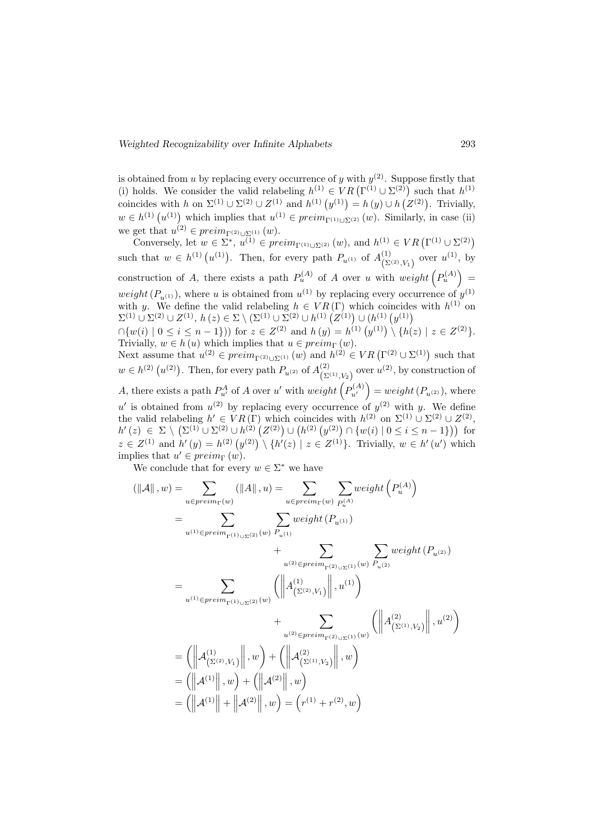is obtained from u by replacing every occurrence of y with  $y^{(2)}$ . Suppose firstly that (i) holds. We consider the valid relabeling  $h^{(1)} \in VR(\Gamma^{(1)} \cup \Sigma^{(2)})$  such that  $h^{(1)}$ coincides with h on  $\Sigma^{(1)} \cup \Sigma^{(2)} \cup Z^{(1)}$  and  $h^{(1)}(y^{(1)}) = h(y) \cup h(Z^{(2)})$ . Trivially,  $w \in h^{(1)} (u^{(1)})$  which implies that  $u^{(1)} \in \text{preim}_{\Gamma^{(1)} \cup \Sigma^{(2)}} (w)$ . Similarly, in case (ii) we get that  $u^{(2)} \in \text{preim}_{\Gamma^{(2)} \cup \Sigma^{(1)}} (w)$ .

Conversely, let  $w \in \Sigma^*$ ,  $u^{(1)} \in \text{preim}_{\Gamma^{(1)} \cup \Sigma^{(2)}} (w)$ , and  $h^{(1)} \in VR(\Gamma^{(1)} \cup \Sigma^{(2)})$ such that  $w \in h^{(1)}(u^{(1)})$ . Then, for every path  $P_{u^{(1)}}$  of  $A^{(1)}_{(\Sigma)}$  $\binom{(1)}{(\Sigma^{(2)}, V_1)}$  over  $u^{(1)}$ , by construction of A, there exists a path  $P_u^{(A)}$  of A over u with  $weight\left(P_u^{(A)}\right)$  = weight  $(P_{u^{(1)}})$ , where u is obtained from  $u^{(1)}$  by replacing every occurrence of  $y^{(1)}$ with y. We define the valid relabeling  $h \in VR(\Gamma)$  which coincides with  $h^{(1)}$  on  $\Sigma^{(1)} \cup \Sigma^{(2)} \cup Z^{(1)}, h(z) \in \Sigma \setminus (\Sigma^{(1)} \cup \Sigma^{(2)} \cup h^{(1)} (Z^{(1)}) \cup (h^{(1)} (y^{(1)})$ 

 $\cap \{w(i) \mid 0 \leq i \leq n-1\})$  for  $z \in Z^{(2)}$  and  $h(y) = h^{(1)}(y^{(1)}) \setminus \{h(z) \mid z \in Z^{(2)}\}.$ Trivially,  $w \in h(u)$  which implies that  $u \in preim_{\Gamma}(w)$ .

Next assume that  $u^{(2)} \in \text{preim}_{\Gamma^{(2)} \cup \Sigma^{(1)}} (w)$  and  $h^{(2)} \in VR(\Gamma^{(2)} \cup \Sigma^{(1)})$  such that  $w \in h^{(2)}\left(u^{(2)}\right)$ . Then, for every path  $P_{u^{(2)}}$  of  $A_{(\Sigma)}^{(2)}$  $\binom{(2)}{(\Sigma^{(1)}, V_2)}$  over  $u^{(2)}$ , by construction of A, there exists a path  $P_{u'}^A$  of A over u' with  $weight\left(P_{u'}^{(A)}\right) = weight\left(P_{u^{(2)}}\right)$ , where u' is obtained from  $u^{(2)}$  by replacing every occurrence of  $y^{(2)}$  with y. We define the valid relabeling  $h' \in VR(\Gamma)$  which coincides with  $h^{(2)}$  on  $\Sigma^{(1)} \cup \Sigma^{(2)} \cup Z^{(2)}$ ,  $h'(z) \in \Sigma \setminus (\Sigma^{(1)} \cup \Sigma^{(2)} \cup h^{(2)} (Z^{(2)}) \cup (h^{(2)} (y^{(2)}) \cap \{w(i) \mid 0 \le i \le n-1\}))$  for  $z \in Z^{(1)}$  and  $h'(y) = h^{(2)}(y^{(2)}) \setminus \{h'(z) \mid z \in Z^{(1)}\}.$  Trivially,  $w \in h'(u')$  which implies that  $u' \in \text{preim}_{\Gamma}(w)$ .

We conclude that for every  $w \in \Sigma^*$  we have

$$
(\|\mathcal{A}\|, w) = \sum_{u \in preim_{\Gamma}(w)} (\|A\|, u) = \sum_{u \in preim_{\Gamma}(w)} \sum_{P_u^{(A)}} weight(P_u^{(A)})
$$
  
\n
$$
= \sum_{u^{(1)} \in preim_{\Gamma^{(1)} \cup \Sigma^{(2)}} (w)} \sum_{P_{u^{(1)}}} weight(P_{u^{(1)}})
$$
  
\n
$$
+ \sum_{u^{(2)} \in preim_{\Gamma^{(2)} \cup \Sigma^{(1)}} (w)} \sum_{P_{u^{(2)}}} weight(P_{u^{(2)}})
$$
  
\n
$$
= \sum_{u^{(1)} \in preim_{\Gamma^{(1)} \cup \Sigma^{(2)}} (w)} (\|A_{(\Sigma^{(2)}, V_1)}^{(1)}\|, u^{(1)})
$$
  
\n
$$
+ \sum_{u^{(2)} \in preim_{\Gamma^{(2)} \cup \Sigma^{(1)}} (w)} (\|A_{(\Sigma^{(1)}, V_2)}^{(2)}\|, u^{(2)})
$$
  
\n
$$
= (\|A_{(\Sigma^{(2)}, V_1)}\|, w) + (\|A_{(\Sigma^{(1)}, V_2)}\|, w)
$$
  
\n
$$
= (\|A^{(1)}\|, w) + (\|A^{(2)}\|, w)
$$
  
\n
$$
= (\|A^{(1)}\| + \|A^{(2)}\|, w) = (r^{(1)} + r^{(2)}, w)
$$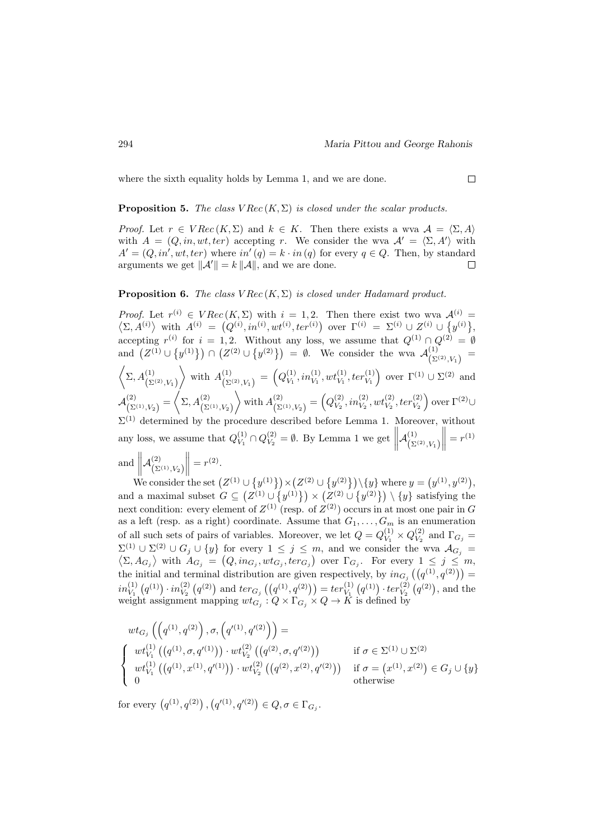where the sixth equality holds by Lemma 1, and we are done.

#### **Proposition 5.** The class  $VRec(K, \Sigma)$  is closed under the scalar products.

*Proof.* Let  $r \in VRec(K,\Sigma)$  and  $k \in K$ . Then there exists a wva  $\mathcal{A} = \langle \Sigma, A \rangle$ with  $A = (Q, in, wt, ter)$  accepting r. We consider the wva  $A' = \langle \Sigma, A' \rangle$  with  $A' = (Q, in', wt, ter)$  where  $in'(q) = k \cdot in(q)$  for every  $q \in Q$ . Then, by standard arguments we get  $\|\mathcal{A}'\| = k \|\mathcal{A}\|$ , and we are done.  $\Box$ 

### **Proposition 6.** The class  $VRec(K, \Sigma)$  is closed under Hadamard product.

*Proof.* Let  $r^{(i)} \in VRec(K,\Sigma)$  with  $i = 1,2$ . Then there exist two wva  $\mathcal{A}^{(i)}$  $\langle \Sigma, A^{(i)} \rangle$  with  $A^{(i)} = (Q^{(i)}, in^{(i)}, wt^{(i)}, ter^{(i)})$  over  $\Gamma^{(i)} = \Sigma^{(i)} \cup Z^{(i)} \cup \{y^{(i)}\},$ accepting  $r^{(i)}$  for  $i = 1, 2$ . Without any loss, we assume that  $Q^{(1)} \cap Q^{(2)} = \emptyset$ and  $(Z^{(1)} \cup \{y^{(1)}\}) \cap (Z^{(2)} \cup \{y^{(2)}\}) = \emptyset$ . We consider the wva  $\mathcal{A}^{(1)}_{(N)}$  $\frac{1}{(\Sigma^{(2)}, V_1)} =$  $\left\langle \Sigma, A^{(1)}_{(\Sigma^{(2)}, V_1)} \right\rangle$ with  $A_{\text{in}}^{(1)}$  $\binom{(1)}{\sum^{(2)} V_1} = \binom{Q_{V_1}^{(1)}}{V_1}$  $V_1^{(1)}, in_{V_1}^{(1)}, wt_{V_1}^{(1)}, ter_{V_1}^{(1)}$  over  $\Gamma^{(1)} \cup \Sigma^{(2)}$  and  $\mathcal{A}^{(2)}_{\scriptscriptstyle\prime}$  $\binom{2}{\Sigma^{(1)}, V_2} = \left\langle \Sigma, A^{(2)}_{(\Sigma^{(1)}, V_2)} \right\rangle$  $\left\langle \right\rangle$  with  $A_{(S)}^{(2)}$  $\binom{(2)}{(\Sigma^{(1)},V_2)} = \left(Q_{V_2}^{(2)}\right)$  $(v_2^{(2)}, in_{V_2}^{(2)}, wt_{V_2}^{(2)}, ter_{V_2}^{(2)})$  over Γ<sup>(2)</sup>∪  $\Sigma^{(1)}$  determined by the procedure described before Lemma 1. Moreover, without any loss, we assume that  $Q_{V_1}^{(1)}$  $V_1^{(1)} \cap Q_{V_2}^{(2)}$  $V_2^{(2)} = \emptyset$ . By Lemma 1 we get  $\parallel$  $\mathcal{A}^{(1)}_{\scriptscriptstyle\prime}$  $\left(\Sigma^{(2)}, V_1\right)$  $\| = r^{(1)}$ and  $\left\| \mathcal{A}^{(2)}_{(\Sigma} \right.$  $\mathbb{I}$  $\left(\Sigma^{(1)}, V_2\right)$  $\Big\| = r^{(2)}$ .

We consider the set  $(Z^{(1)} \cup \{y^{(1)}\}) \times (Z^{(2)} \cup \{y^{(2)}\}) \setminus \{y\}$  where  $y = (y^{(1)}, y^{(2)}),$ and a maximal subset  $G \subseteq (Z^{(1)} \cup \{y^{(1)}\}) \times (Z^{(2)} \cup \{y^{(2)}\}) \setminus \{y\}$  satisfying the next condition: every element of  $Z^{(1)}$  (resp. of  $Z^{(2)}$ ) occurs in at most one pair in G as a left (resp. as a right) coordinate. Assume that  $G_1, \ldots, G_m$  is an enumeration of all such sets of pairs of variables. Moreover, we let  $Q = Q_V^{(1)}$  $\frac{(1)}{V_1} \times Q_{V_2}^{(2)}$  $V_2^{(2)}$  and  $\Gamma_{G_j} =$  $\Sigma^{(1)} \cup \Sigma^{(2)} \cup G_j \cup \{y\}$  for every  $1 \leq j \leq m$ , and we consider the wva  $\mathcal{A}_{G_j} = \langle \Sigma, A_{G_i} \rangle$  with  $A_{G_j} = (Q, in_{G_j}, wt_{G_j}, ter_{G_j})$  over  $\Gamma_{G_j}$ . For every  $1 \leq j \leq m$ ,  $\sum_{i} A_{G_j}$  with  $A_{G_j} = (Q, in_{G_j}, wt_{G_j}, ter_{G_j})$  over  $\Gamma_{G_j}$ . For every  $1 \leq j \leq m$ , the initial and terminal distribution are given respectively, by  $in_{G_j}((q^{(1)}, q^{(2)}))$  =  $in_{V_1}^{(1)}(q^{(1)}) \cdot in_{V_2}^{(2)}(q^{(2)})$  and  $ter_{G_j}((q^{(1)}, q^{(2)})) = ter_{V_1}^{(1)}(q^{(1)}) \cdot ter_{V_2}^{(2)}(q^{(2)})$ , and the weight assignment mapping  $wt_{G_j}: Q \times \Gamma_{G_j} \times Q \to K$  is defined by

$$
wt_{G_j}\left(\left(q^{(1)}, q^{(2)}\right), \sigma, \left(q'^{(1)}, q'^{(2)}\right)\right) =
$$
\n
$$
\begin{cases}\nwt_{V_1}^{(1)}\left(\left(q^{(1)}, \sigma, q'^{(1)}\right)\right) \cdot wt_{V_2}^{(2)}\left(\left(q^{(2)}, \sigma, q'^{(2)}\right)\right) & \text{if } \sigma \in \Sigma^{(1)} \cup \Sigma^{(2)} \\
wt_{V_1}^{(1)}\left(\left(q^{(1)}, x^{(1)}, q'^{(1)}\right)\right) \cdot wt_{V_2}^{(2)}\left(\left(q^{(2)}, x^{(2)}, q'^{(2)}\right)\right) & \text{if } \sigma = \left(x^{(1)}, x^{(2)}\right) \in G_j \cup \{y\} \\
0 & \text{otherwise}\n\end{cases}
$$

for every  $(q^{(1)}, q^{(2)})$ ,  $(q'^{(1)}, q'^{(2)}) \in Q, \sigma \in \Gamma_{G_j}$ .

 $\Box$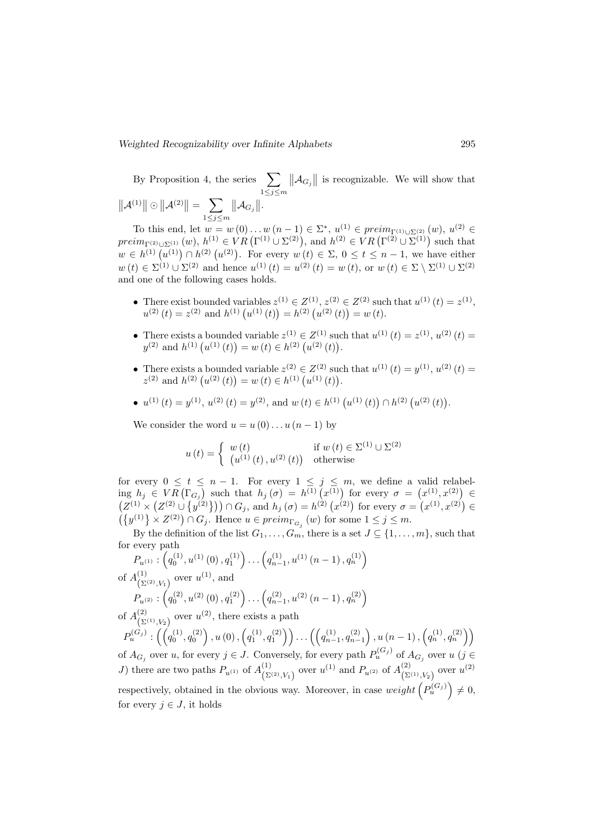By Proposition 4, the series  $\sum$  $1\leq j\leq m$  $||\mathcal{A}_{G_j}||$  is recognizable. We will show that  $||A^{(1)}|| \odot ||A^{(2)}|| = \sum$  $1\leq j\leq m$  $\|\mathcal{A}_{G_j}\|$ .

To this end, let  $w = w(0) \dots w(n-1) \in \Sigma^*$ ,  $u^{(1)} \in \text{preim}_{\Gamma^{(1)} \cup \Sigma^{(2)}} (w)$ ,  $u^{(2)} \in$  $\text{preim}_{\Gamma^{(2)}\cup\Sigma^{(1)}}(w), h^{(1)}\in VR\big(\Gamma^{(1)}\cup\Sigma^{(2)}\big), \text{ and } h^{(2)}\in VR\big(\Gamma^{(2)}\cup\Sigma^{(1)}\big) \text{ such that }$  $w \in h^{(1)}(u^{(1)}) \cap h^{(2)}(u^{(2)})$ . For every  $w(t) \in \Sigma$ ,  $0 \le t \le n-1$ , we have either  $w(t) \in \Sigma^{(1)} \cup \Sigma^{(2)}$  and hence  $u^{(1)}(t) = u^{(2)}(t) = w(t)$ , or  $w(t) \in \Sigma \setminus \Sigma^{(1)} \cup \Sigma^{(2)}$ and one of the following cases holds.

- There exist bounded variables  $z^{(1)} \in Z^{(1)}$ ,  $z^{(2)} \in Z^{(2)}$  such that  $u^{(1)}(t) = z^{(1)}$ ,  $u^{(2)}(t) = z^{(2)}$  and  $h^{(1)}(u^{(1)}(t)) = h^{(2)}(u^{(2)}(t)) = w(t)$ .
- There exists a bounded variable  $z^{(1)} \in Z^{(1)}$  such that  $u^{(1)}(t) = z^{(1)}$ ,  $u^{(2)}(t) = z^{(2)}$  $y^{(2)}$  and  $h^{(1)}(u^{(1)}(t)) = w(t) \in h^{(2)}(u^{(2)}(t)).$
- There exists a bounded variable  $z^{(2)} \in Z^{(2)}$  such that  $u^{(1)}(t) = y^{(1)}$ ,  $u^{(2)}(t) =$  $z^{(2)}$  and  $h^{(2)}(u^{(2)}(t)) = w(t) \in h^{(1)}(u^{(1)}(t)).$
- $u^{(1)}(t) = y^{(1)}, u^{(2)}(t) = y^{(2)}, \text{ and } w(t) \in h^{(1)}(u^{(1)}(t)) \cap h^{(2)}(u^{(2)}(t)).$

We consider the word  $u = u(0) \dots u(n-1)$  by

$$
u(t) = \begin{cases} w(t) & \text{if } w(t) \in \Sigma^{(1)} \cup \Sigma^{(2)} \\ (u^{(1)}(t), u^{(2)}(t)) & \text{otherwise} \end{cases}
$$

for every  $0 \leq t \leq n-1$ . For every  $1 \leq j \leq m$ , we define a valid relabeling  $h_j \in VR(\Gamma_{G_j})$  such that  $h_j(\sigma) = h^{(1)}(x^{(1)})$  for every  $\sigma = (x^{(1)}, x^{(2)}) \in$  $(Z^{(1)} \times (Z^{(2)} \cup \{y^{(2)}\})) \cap G_j$ , and  $h_j(\sigma) = h^{(2)}(x^{(2)})$  for every  $\sigma = (x^{(1)}, x^{(2)}) \in$  $\left(\lbrace y^{(1)} \rbrace \times Z^{(2)}\right) \cap G_j$ . Hence  $u \in \text{preim}_{\Gamma_{G_j}}(w)$  for some  $1 \leq j \leq m$ .

By the definition of the list  $G_1, \ldots, G_m$ , there is a set  $J \subseteq \{1, \ldots, m\}$ , such that for every path

$$
P_{u^{(1)}}: (q_0^{(1)}, u^{(1)}(0), q_1^{(1)}) \dots (q_{n-1}^{(1)}, u^{(1)}(n-1), q_n^{(1)})
$$
  
of  $A_{(\Sigma^{(2)}, V_1)}^{(1)}$  over  $u^{(1)}$ , and  

$$
P_{u^{(2)}}: (q_0^{(2)}, u^{(2)}(0), q_1^{(2)}) \dots (q_{n-1}^{(2)}, u^{(2)}(n-1), q_n^{(2)})
$$

of  $A_{(5)}^{(2)}$  $\binom{2}{\sum^{(1)}, V_2}$  over  $u^{(2)}$ , there exists a path

 $P_u^{(G_j)}:\left(\left(q_0^{(1)},q_0^{(2)}\right),u\left(0\right),\left(q_1^{(1)},q_1^{(2)}\right)\right)\dots\left(\left(q_{n-1}^{(1)},q_{n-1}^{(2)}\right),u\left(n-1\right),\left(q_n^{(1)},q_n^{(2)}\right)\right)$ of  $A_{G_j}$  over u, for every  $j \in J$ . Conversely, for every path  $P_u^{(G_j)}$  of  $A_{G_j}$  over u  $(j \in$ J) there are two paths  $P_{u^{(1)}}$  of  $A_{(\Sigma)}^{(1)}$  $\binom{(1)}{(\Sigma^{(2)}, V_1)}$  over  $u^{(1)}$  and  $P_{u^{(2)}}$  of  $A^{(2)}_{(\Sigma)}$  $\sum_{(2)(1)}^{(2)}$  over  $u^{(2)}$ respectively, obtained in the obvious way. Moreover, in case  $weight\left(P_u^{(G_j)}\right) \neq 0$ , for every  $i \in J$ , it holds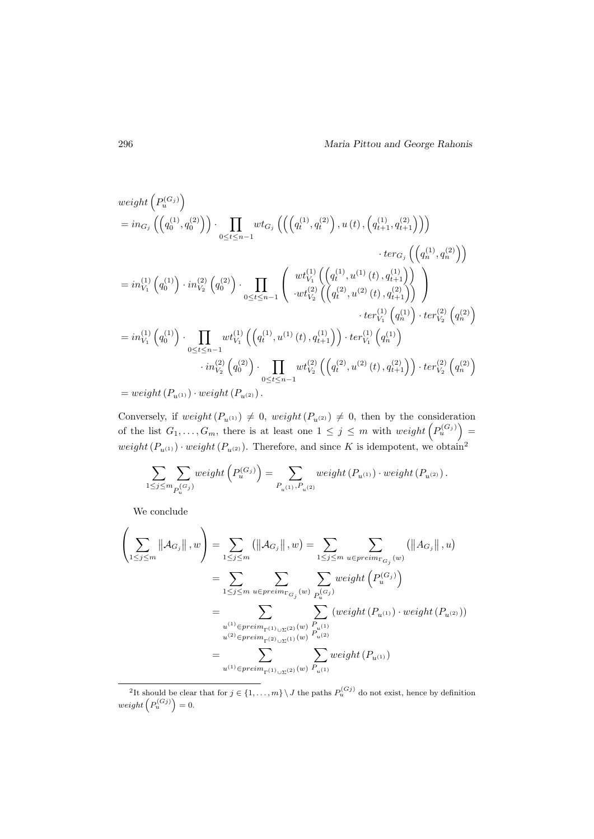$$
\begin{split}\n\text{weight}\left(P_u^{(G_j)}\right) &= in_{G_j}\left(\left(q_0^{(1)}, q_0^{(2)}\right)\right) \cdot \prod_{0 \le t \le n-1} wt_{G_j}\left(\left(\left(q_t^{(1)}, q_t^{(2)}\right), u(t), \left(q_{t+1}^{(1)}, q_{t+1}^{(2)}\right)\right)\right) \\
&\quad \text{therefore}\left(q_u^{(1)}, q_n^{(2)}\right)\right) \\
&= in_{V_1}^{(1)}\left(q_0^{(1)}\right) \cdot in_{V_2}^{(2)}\left(q_0^{(2)}\right) \cdot \prod_{0 \le t \le n-1} \left(\begin{array}{c} wt_{V_1}^{(1)}\left(\left(q_t^{(1)}, u^{(1)}(t), q_{t+1}^{(1)}\right)\right) \\
\cdot \text{tr}_{V_2}^{(2)}\left(\left(q_t^{(2)}, u^{(2)}(t), q_{t+1}^{(2)}\right)\right) \\
\cdot \text{tr}_{V_1}^{(1)}\left(q_0^{(1)}\right) \cdot \text{tr}_{V_2}^{(2)}\left(q_0^{(2)}\right)\n\end{array}\right) \\
&\quad \text{therefore}\left(q_u^{(1)}\right) \cdot \text{tr}_{V_2}^{(2)}\left(q_u^{(2)}\right) \\
&\quad \text{in}_{V_2}^{(2)}\left(q_0^{(2)}\right) \cdot \prod_{0 \le t \le n-1} wt_{V_1}^{(1)}\left(\left(q_t^{(1)}, u^{(1)}(t), q_{t+1}^{(1)}\right)\right) \cdot \text{ter}_{V_1}^{(1)}\left(q_n^{(1)}\right) \\
&\quad \text{in}_{V_2}^{(2)}\left(q_0^{(2)}\right) \cdot \prod_{0 \le t \le n-1} wt_{V_2}^{(2)}\left(\left(q_t^{(2)}, u^{(2)}(t), q_{t+1}^{(2)}\right)\right) \cdot \text{ter}_{V_2}^{(2)}\left(q_n^{(2)}\right) \\
&= weight\left(P_{u^{(1)}}\right) \cdot weight\left(P_{u^{(2)}}\right).
$$

Conversely, if weight $(P_{u^{(1)}}) \neq 0$ , weight $(P_{u^{(2)}}) \neq 0$ , then by the consideration of the list  $G_1, \ldots, G_m$ , there is at least one  $1 \leq j \leq m$  with  $weight\left(P_u^{(G_j)}\right) =$ weight  $(P_{u^{(1)}}) \cdot weight(P_{u^{(2)}})$ . Therefore, and since K is idempotent, we obtain<sup>2</sup>

$$
\sum_{1\leq j\leq m}\sum_{P_u^{(G_j)}}weight\left(P_u^{(G_j)}\right)=\sum_{P_{u^{(1)}},P_{u^{(2)}}}weight\left(P_{u^{(1)}}\right)\cdot weight\left(P_{u^{(2)}}\right).
$$

We conclude

$$
\left(\sum_{1 \leq j \leq m} ||A_{G_j}||, w\right) = \sum_{1 \leq j \leq m} (||A_{G_j}||, w) = \sum_{1 \leq j \leq m} \sum_{u \in preim_{\Gamma_{G_j}}(w)} (||A_{G_j}||, u)
$$
  
\n
$$
= \sum_{1 \leq j \leq m} \sum_{u \in preim_{\Gamma_{G_j}}(w)} \sum_{P_u^{(G_j)}} weight(P_u^{(G_j)})
$$
  
\n
$$
= \sum_{u^{(1)} \in preim_{\Gamma^{(1)} \cup \Sigma^{(2)}} (w)} \sum_{P_{u^{(1)}}} (weight(P_{u^{(1)}}) \cdot weight(P_{u^{(2)}}))
$$
  
\n
$$
= \sum_{u^{(1)} \in preim_{\Gamma^{(2)} \cup \Sigma^{(1)}} (w)} \sum_{P_{u^{(2)}}} weight(P_{u^{(1)}})
$$

<sup>&</sup>lt;sup>2</sup>It should be clear that for  $j \in \{1, ..., m\} \setminus J$  the paths  $P_u^{(Gj)}$  do not exist, hence by definition  $weight\left(P_u^{(Gj)}\right) = 0.$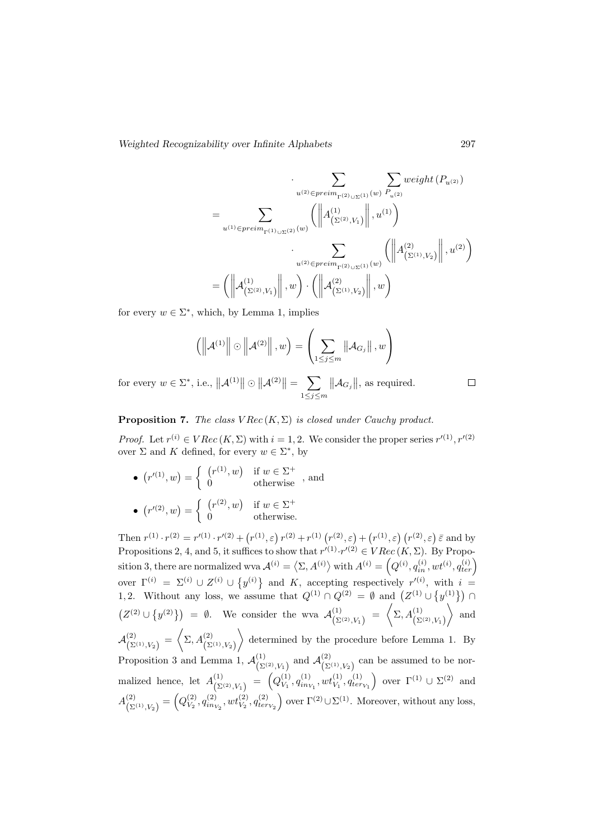$$
\sum_{u^{(2)} \in \text{preim}_{\Gamma^{(2)} \cup \Sigma^{(1)}} (w)} \sum_{P_{u^{(2)}}} \text{weight} (P_{u^{(2)}})
$$
\n
$$
= \sum_{u^{(1)} \in \text{preim}_{\Gamma^{(1)} \cup \Sigma^{(2)}} (w)} \left( \left\| A^{(1)}_{(\Sigma^{(2)}, V_1)} \right\|, u^{(1)} \right)
$$
\n
$$
\cdot \sum_{u^{(2)} \in \text{preim}_{\Gamma^{(2)} \cup \Sigma^{(1)}} (w)} \left( \left\| A^{(2)}_{(\Sigma^{(1)}, V_2)} \right\|, u^{(2)} \right)
$$
\n
$$
= \left( \left\| A^{(1)}_{(\Sigma^{(2)}, V_1)} \right\|, w \right) \cdot \left( \left\| A^{(2)}_{(\Sigma^{(1)}, V_2)} \right\|, w \right)
$$

for every  $w \in \Sigma^*$ , which, by Lemma 1, implies

$$
\left(\left\|\mathcal{A}^{(1)}\right\|\odot\left\|\mathcal{A}^{(2)}\right\|,w\right)=\left(\sum_{1\leq j\leq m}\left\|\mathcal{A}_{G_j}\right\|,w\right)
$$

for every  $w \in \Sigma^*$ , i.e.,  $||\mathcal{A}^{(1)}|| \odot ||\mathcal{A}^{(2)}|| = \sum$  $1\leq j\leq m$  $||\mathcal{A}_{G_j}||$ , as required.

**Proposition 7.** The class  $VRec(K, \Sigma)$  is closed under Cauchy product.

*Proof.* Let  $r^{(i)} \in VRec(K, \Sigma)$  with  $i = 1, 2$ . We consider the proper series  $r'^{(1)}, r'^{(2)}$ over  $\Sigma$  and K defined, for every  $w \in \Sigma^*$ , by

•  $(r^{(1)}, w) = \begin{cases} (r^{(1)}, w) & \text{if } w \in \Sigma^+ \\ 0 & \text{otherwise} \end{cases}$ , and •  $(r^{(2)}, w) = \begin{cases} (r^{(2)}, w) & \text{if } w \in \Sigma^+ \\ 0 & \text{otherwise} \end{cases}$ 0 otherwise.

Then  $r^{(1)} \cdot r^{(2)} = r^{(1)} \cdot r^{(2)} + (r^{(1)}, \varepsilon) r^{(2)} + r^{(1)} (r^{(2)}, \varepsilon) + (r^{(1)}, \varepsilon) (r^{(2)}, \varepsilon) \bar{\varepsilon}$  and by Propositions 2, 4, and 5, it suffices to show that  $r^{(1)} \cdot r^{(2)} \in VRec(K, \Sigma)$ . By Proposition 3, there are normalized wva  $\mathcal{A}^{(i)} = \left\langle \Sigma, A^{(i)} \right\rangle$  with  $A^{(i)} = \left( Q^{(i)}, q_{in}^{(i)}, wt^{(i)}, q_{ter}^{(i)} \right)$ over  $\Gamma^{(i)} = \Sigma^{(i)} \cup Z^{(i)} \cup \{y^{(i)}\}\$  and K, accepting respectively  $r'^{(i)}$ , with  $i =$ 1, 2. Without any loss, we assume that  $Q^{(1)} \cap Q^{(2)} = \emptyset$  and  $\left( Z^{(1)} \cup \{ y^{(1)} \} \right) \cap$  $(Z^{(2)} \cup \{y^{(2)}\}) = \emptyset$ . We consider the wva  $\mathcal{A}^{(1)}_{(N)}$  $\left(\sum^{(1)}_{\Sigma^{(2)},V_1}\right) = \left\langle \Sigma,A^{(1)}_{\Sigma^{(2)},V_1}\right\rangle$  $\Big\}$  and  $\mathcal{A}^{(2)}_{\scriptscriptstyle\prime\sigma}$  $\left(\begin{matrix} (2)\ (\Sigma^{(1)},V_2) \end{matrix}\right) \,=\, \begin{pmatrix} \sum_{1}A^{(2)}_{{\tiny\left(\Sigma^{(1)},V_2\right)}} \end{pmatrix}$  determined by the procedure before Lemma 1. By Proposition 3 and Lemma 1,  $\mathcal{A}_{\infty}^{(1)}$  $\chi^{(1)}_{(\Sigma^{(2)}, V_1)}$  and  $\mathcal{A}^{(2)}_{(\Sigma)}$  $\binom{2}{\sum^{(1)}, V_2}$  can be assumed to be normalized hence, let  $A_{(S)}^{(1)}$  $\begin{pmatrix} (1) \ (\Sigma^{(2)}, V_1) \end{pmatrix} = \begin{pmatrix} Q_{V_1}^{(1)} \end{pmatrix}$  $V_1^{(1)}, q_{inv_1}^{(1)}, wt_{V_1}^{(1)}, q_{ter_{V_1}}^{(1)}\}$  over  $\Gamma^{(1)} \cup \Sigma^{(2)}$  and  $A_{\rm C}^{(2)}$  $\binom{(2)}{(\Sigma^{(1)},V_2)} = \left(Q_{V_2}^{(2)}\right)$  $V_2, q_{inv_2}^{(2)}, wt_{V_2}^{(2)}, q_{terv_2}^{(2)}$  over  $\Gamma^{(2)} \cup \Sigma^{(1)}$ . Moreover, without any loss,

 $\Box$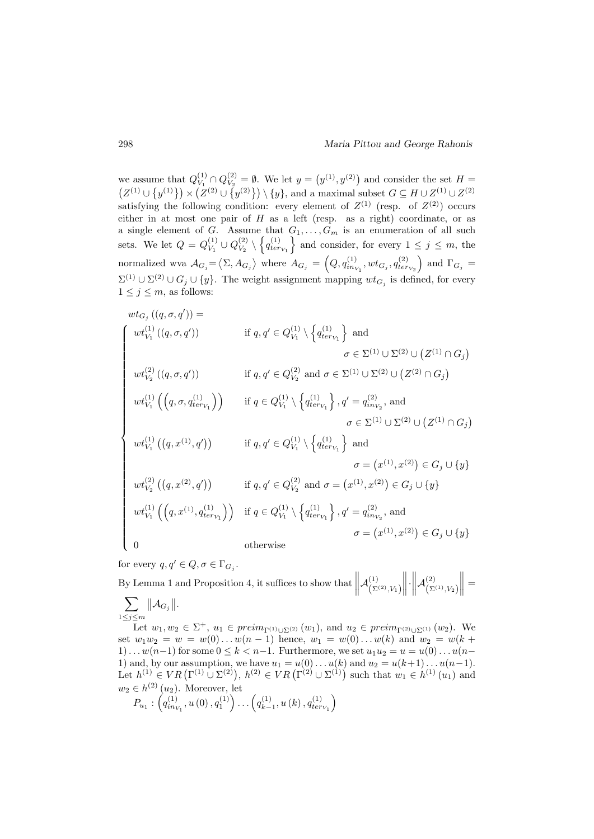we assume that  $Q_V^{(1)}$  $V_1^{(1)} \cap Q_{V_2}^{(2)}$  $V_2^{(2)} = \emptyset$ . We let  $y = (y^{(1)}, y^{(2)})$  and consider the set  $H =$  $(Z^{(1)} \cup \{y^{(1)}\}) \times (Z^{(2)} \cup \{y^{(2)}\}) \setminus \{y\}$ , and a maximal subset  $G \subseteq H \cup Z^{(1)} \cup Z^{(2)}$ satisfying the following condition: every element of  $Z^{(1)}$  (resp. of  $Z^{(2)}$ ) occurs either in at most one pair of H as a left (resp. as a right) coordinate, or as a single element of G. Assume that  $G_1, \ldots, G_m$  is an enumeration of all such sets. We let  $Q = Q_V^{(1)}$  $V_1^{(1)} \cup Q_{V_2}^{(2)}$  $\{Q_{V_2}^{(2)} \setminus \{q_{ter_{V_1}}^{(1)}\}\$ and consider, for every  $1 \leq j \leq m$ , the normalized wva  $A_{G_j} = \langle \Sigma, A_{G_j} \rangle$  where  $A_{G_j} = \left(Q, q_{in_{V_1}}^{(1)}, wt_{G_j}, q_{ter_{V_2}}^{(2)}\right)$  and  $\Gamma_{G_j}$  $\Sigma^{(1)} \cup \Sigma^{(2)} \cup G_j \cup \{y\}.$  The weight assignment mapping  $wt_{G_j}$  is defined, for every  $1 \leq j \leq m$ , as follows:

$$
wt_{G_j}((q, \sigma, q')) =
$$
\n
$$
\begin{cases}\nwt_{V_1}^{(1)}((q, \sigma, q')) & \text{if } q, q' \in Q_{V_1}^{(1)} \setminus \left\{ q_{ter_{V_1}}^{(1)} \right\} \text{ and} \\
& \sigma \in \Sigma^{(1)} \cup \Sigma^{(2)} \cup \left\{ Z^{(1)} \cap G_j \right\} \\
wt_{V_2}^{(2)}((q, \sigma, q')) & \text{if } q, q' \in Q_{V_2}^{(2)} \text{ and } \sigma \in \Sigma^{(1)} \cup \Sigma^{(2)} \cup \left\{ Z^{(2)} \cap G_j \right\} \\
wt_{V_1}^{(1)}\left( \left( q, \sigma, q_{ter_{V_1}}^{(1)} \right) \right) & \text{if } q \in Q_{V_1}^{(1)} \setminus \left\{ q_{ter_{V_1}}^{(1)} \right\}, q' = q_{in_{V_2}}^{(2)}, \text{ and} \\
& \sigma \in \Sigma^{(1)} \cup \Sigma^{(2)} \cup \left\{ Z^{(1)} \cap G_j \right\} \\
wt_{V_1}^{(1)}\left( \left( q, x^{(1)}, q' \right) \right) & \text{if } q, q' \in Q_{V_1}^{(1)} \setminus \left\{ q_{ter_{V_1}}^{(1)} \right\} \text{ and} \\
& \sigma = (x^{(1)}, x^{(2)}) \in G_j \cup \{y\} \\
wt_{V_2}^{(2)}\left( \left( q, x^{(2)}, q' \right) \right) & \text{if } q, q' \in Q_{V_2}^{(2)} \text{ and } \sigma = (x^{(1)}, x^{(2)}) \in G_j \cup \{y\} \\
wt_{V_1}^{(1)}\left( \left( q, x^{(1)}, q_{ter_{V_1}}^{(1)} \right) \right) & \text{if } q \in Q_{V_1}^{(1)} \setminus \left\{ q_{ter_{V_1}}^{(1)} \right\}, q' = q_{in_{V_2}}^{(2)}, \text{ and} \\
& \sigma = (x^{(1)}, x^{(2)}) \in G_j \cup \{y\} \\
0 & \text{otherwise}\n\end{cases}
$$

for every  $q, q' \in Q, \sigma \in \Gamma_{G_j}$ .

By Lemma 1 and Proposition 4, it suffices to show that  $\|\cdot\|$  $\mathcal{A}^{(1)}_{\scriptscriptstyle\prime}$  $\left(\Sigma^{(2)}, V_1\right)$   $\cdot$  $\mathcal{A}^{(2)}_{\scriptscriptstyle\prime}$  $\left(\Sigma^{(1)}, V_2\right)$  $\Big\| =$  $\sum$  $1\leq j\leq m$  $\Vert \mathcal{A}_{G_j} \Vert.$ Let  $w_1, w_2 \in \Sigma^+$ ,  $u_1 \in \text{preim}_{\Gamma^{(1)} \cup \Sigma^{(2)}} (w_1)$ , and  $u_2 \in \text{preim}_{\Gamma^{(2)} \cup \Sigma^{(1)}} (w_2)$ . We set  $w_1w_2 = w = w(0) \dots w(n-1)$  hence,  $w_1 = w(0) \dots w(k)$  and  $w_2 = w(k+1)$  $1) \dots w(n-1)$  for some  $0 \leq k < n-1$ . Furthermore, we set  $u_1u_2 = u = u(0) \dots u(n-1)$ 1) and, by our assumption, we have  $u_1 = u(0) \dots u(k)$  and  $u_2 = u(k+1) \dots u(n-1)$ . Let  $h^{(1)} \in VR\left(\Gamma^{(1)} \cup \Sigma^{(2)}\right), h^{(2)} \in VR\left(\Gamma^{(2)} \cup \Sigma^{(1)}\right)$  such that  $w_1 \in h^{(1)}(u_1)$  and

$$
w_2 \in h^{(2)}(u_2)
$$
. Moreover, let  
\n $P_{u_1}: \left( q_{in_{V_1}}^{(1)}, u(0), q_1^{(1)} \right) \dots \left( q_{k-1}^{(1)}, u(k), q_{ter_{V_1}}^{(1)} \right)$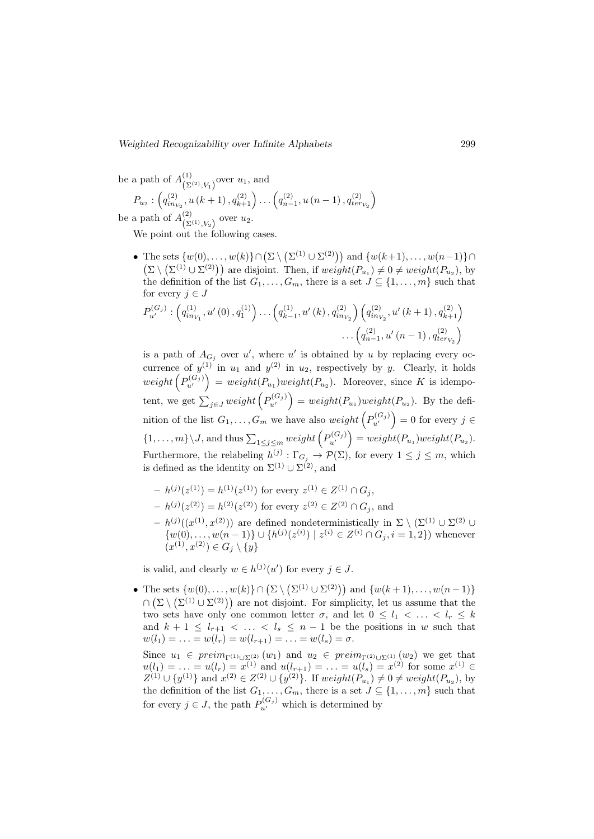be a path of  $A_{\left( \mathcal{S}\right) }^{\left( 1\right) }$  $\binom{1}{\sum(2)N_1}$  over  $u_1$ , and

$$
P_{u_2}: \left(q_{in_{V_2}}^{(2)}, u(k+1), q_{k+1}^{(2)}\right) \dots \left(q_{n-1}^{(2)}, u(n-1), q_{ter_{V_2}}^{(2)}\right)
$$

be a path of  $A_{\left( \mathcal{S}\right) }^{\left( 2\right) }$  $\sum_{(2^{(1)}, V_2)}^{(2)}$  over  $u_2$ .

We point out the following cases.

• The sets  $\{w(0), \ldots, w(k)\} \cap (\Sigma \setminus (\Sigma^{(1)} \cup \Sigma^{(2)}))$  and  $\{w(k+1), \ldots, w(n-1)\} \cap$  $(\Sigma \setminus (\Sigma^{(1)} \cup \Sigma^{(2)}))$  are disjoint. Then, if  $weight(P_{u_1}) \neq 0 \neq weight(P_{u_2})$ , by the definition of the list  $G_1, \ldots, G_m$ , there is a set  $J \subseteq \{1, \ldots, m\}$  such that for every  $j \in J$ 

$$
P_{u'}^{(G_j)}: (q_{in_{V_1}}^{(1)}, u'(0), q_1^{(1)}) \dots (q_{k-1}^{(1)}, u'(k), q_{in_{V_2}}^{(2)}) (q_{in_{V_2}}^{(2)}, u'(k+1), q_{k+1}^{(2)})
$$

$$
\dots (q_{n-1}^{(2)}, u'(n-1), q_{ter_{V_2}}^{(2)})
$$

is a path of  $A_{G_j}$  over u', where u' is obtained by u by replacing every occurrence of  $y^{(1)}$  in  $u_1$  and  $y^{(2)}$  in  $u_2$ , respectively by y. Clearly, it holds  $weight\left(P_{u'}^{(G_j)}\right) = weight(P_{u_1})weight(P_{u_2}).$  Moreover, since K is idempotent, we get  $\sum_{j\in J} weight(P_{u'}^{(G_j)})$  =  $weight(P_{u_1})weight(P_{u_2})$ . By the definition of the list  $G_1, \ldots, G_m$  we have also  $weight\left(P_{u'}^{(G_j)}\right) = 0$  for every  $j \in$  $\{1,\ldots,m\}\setminus J$ , and thus  $\sum_{1\leq j\leq m} weight(P_{u'}^{(G_j)}) = weight(P_{u_1})weight(P_{u_2})$ . Furthermore, the relabeling  $h^{(j)} : \Gamma_{G_j} \to \mathcal{P}(\Sigma)$ , for every  $1 \leq j \leq m$ , which is defined as the identity on  $\Sigma^{(1)} \cup \Sigma^{(2)}$ , and

- $-h^{(j)}(z^{(1)}) = h^{(1)}(z^{(1)})$  for every  $z^{(1)} \in Z^{(1)} \cap G_j$ ,
- $-h^{(j)}(z^{(2)}) = h^{(2)}(z^{(2)})$  for every  $z^{(2)} \in Z^{(2)} \cap G_j$ , and
- $-h^{(j)}((x^{(1)},x^{(2)}))$  are defined nondeterministically in  $\Sigma \setminus (\Sigma^{(1)} \cup \Sigma^{(2)} \cup$  $\{w(0), \ldots, w(n-1)\} \cup \{h^{(j)}(z^{(i)}) \mid z^{(i)} \in Z^{(i)} \cap G_j, i = 1, 2\}$  whenever  $(x^{(1)}, x^{(2)}) \in G_j \setminus \{y\}$

is valid, and clearly  $w \in h^{(j)}(u')$  for every  $j \in J$ .

• The sets  $\{w(0), \ldots, w(k)\} \cap (\Sigma \setminus (\Sigma^{(1)} \cup \Sigma^{(2)}))$  and  $\{w(k+1), \ldots, w(n-1)\}\$  $\cap (\Sigma \setminus (\Sigma^{(1)} \cup \Sigma^{(2)}))$  are not disjoint. For simplicity, let us assume that the two sets have only one common letter  $\sigma$ , and let  $0 \leq l_1 < \ldots < l_r \leq k$ and  $k + 1 \leq l_{r+1} < \ldots < l_s \leq n-1$  be the positions in w such that  $w(l_1) = \ldots = w(l_r) = w(l_{r+1}) = \ldots = w(l_s) = \sigma.$ 

Since  $u_1 \in \text{preim}_{\Gamma^{(1)} \cup \Sigma^{(2)}} (w_1)$  and  $u_2 \in \text{preim}_{\Gamma^{(2)} \cup \Sigma^{(1)}} (w_2)$  we get that  $u(l_1) = \ldots = u(l_r) = x^{(1)}$  and  $u(l_{r+1}) = \ldots = u(l_s) = x^{(2)}$  for some  $x^{(1)} \in$  $Z^{(1)} \cup \{y^{(1)}\}$  and  $x^{(2)} \in Z^{(2)} \cup \{y^{(2)}\}$ . If  $weight(P_{u_1}) \neq 0 \neq weight(P_{u_2})$ , by the definition of the list  $G_1, \ldots, G_m$ , there is a set  $J \subseteq \{1, \ldots, m\}$  such that for every  $j \in J$ , the path  $P_{u'}^{(G_j)}$  which is determined by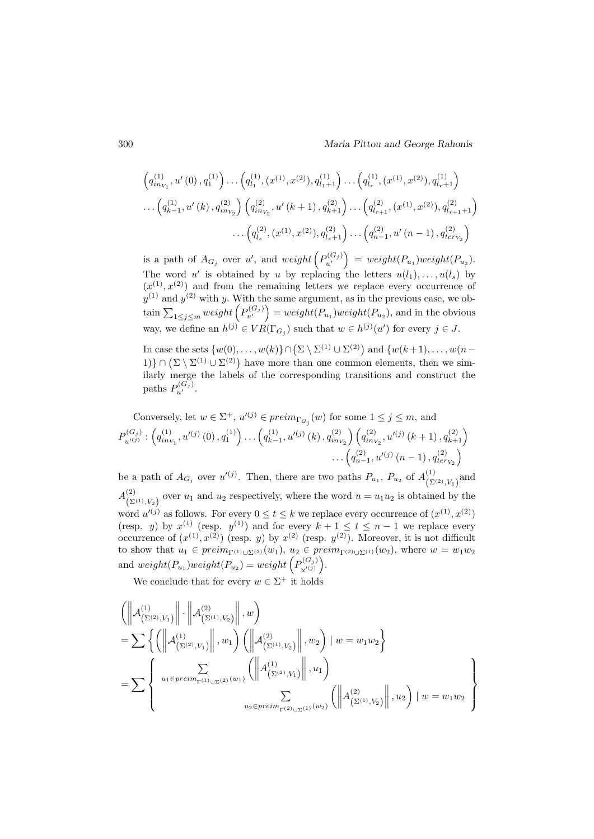$$
\left(q_{in_{V_1}}^{(1)}, u'(0), q_1^{(1)}\right) \dots \left(q_{l_1}^{(1)}, (x^{(1)}, x^{(2)}), q_{l_1+1}^{(1)}\right) \dots \left(q_{l_r}^{(1)}, (x^{(1)}, x^{(2)}), q_{l_r+1}^{(1)}\right) \n\dots \left(q_{k-1}^{(1)}, u'(k), q_{in_{V_2}}^{(2)}\right) \left(q_{in_{V_2}}^{(2)}, u'(k+1), q_{k+1}^{(2)}\right) \dots \left(q_{l_{r+1}}^{(2)}, (x^{(1)}, x^{(2)}), q_{l_{r+1}+1}^{(2)}\right) \n\dots \left(q_{l_s}^{(2)}, (x^{(1)}, x^{(2)}), q_{l_s+1}^{(2)}\right) \dots \left(q_{n-1}^{(2)}, u'(n-1), q_{ter_{V_2}}^{(2)}\right)
$$

is a path of  $A_{G_j}$  over u', and weight  $(P_{u'}^{(G_j)}) = weight(P_{u_1})weight(P_{u_2})$ . The word u' is obtained by u by replacing the letters  $u(l_1), \ldots, u(l_s)$  by  $(x^{(1)}, x^{(2)})$  and from the remaining letters we replace every occurrence of  $y^{(1)}$  and  $y^{(2)}$  with y. With the same argument, as in the previous case, we obtain  $\sum_{1 \leq j \leq m} weight(P_{u'}^{(G_j)}) = weight(P_{u_1}) weight(P_{u_2})$ , and in the obvious way, we define an  $h^{(j)} \in VR(\Gamma_{G_j})$  such that  $w \in h^{(j)}(u')$  for every  $j \in J$ .

In case the sets  $\{w(0), \ldots, w(k)\} \cap (\Sigma \setminus \Sigma^{(1)} \cup \Sigma^{(2)})$  and  $\{w(k+1), \ldots, w(n-k)\}$ 1)} ∩ ( $\Sigma \setminus \Sigma^{(1)} \cup \Sigma^{(2)}$ ) have more than one common elements, then we similarly merge the labels of the corresponding transitions and construct the paths  $P_{u'}^{(G_j)}$ .

Conversely, let 
$$
w \in \Sigma^+
$$
,  $u'^{(j)} \in preim_{\Gamma_{G_j}}(w)$  for some  $1 \le j \le m$ , and  
\n
$$
P_{u'^{(j)}}^{(G_j)}: \left( q_{inv_1}^{(1)}, u'^{(j)}(0), q_1^{(1)} \right) \dots \left( q_{k-1}^{(1)}, u'^{(j)}(k), q_{inv_2}^{(2)} \right) \left( q_{inv_2}^{(2)}, u'^{(j)}(k+1), q_{k+1}^{(2)} \right) \dots \left( q_{n-1}^{(2)}, u'^{(j)}(n-1), q_{terv_2}^{(2)} \right)
$$

be a path of  $A_{G_j}$  over  $u'(j)$ . Then, there are two paths  $P_{u_1}, P_{u_2}$  of  $A_{(\Sigma)}^{(1)}$  $\prod_{(\Sigma^{(2)}, V_1)}^{(1)}$  and  $A_{\infty}^{(2)}$  $(\Sigma^{(1)}, V_2)$  over  $u_1$  and  $u_2$  respectively, where the word  $u = u_1 u_2$  is obtained by the word  $u'(i)$  as follows. For every  $0 \le t \le k$  we replace every occurrence of  $(x^{(1)}, x^{(2)})$ (resp. y) by  $x^{(1)}$  (resp.  $y^{(1)}$ ) and for every  $k+1 \le t \le n-1$  we replace every occurrence of  $(x^{(1)}, x^{(2)})$  (resp. y) by  $x^{(2)}$  (resp.  $y^{(2)}$ ). Moreover, it is not difficult to show that  $u_1 \in \text{preim}_{\Gamma^{(1)} \cup \Sigma^{(2)}} (w_1), u_2 \in \text{preim}_{\Gamma^{(2)} \cup \Sigma^{(1)}} (w_2)$ , where  $w = w_1w_2$ and  $weight(P_{u_1}) weight(P_{u_2}) = weight\left(P_{u'(i)}^{(G_i)}\right)$  $\binom{(G_j)}{u'^{(j)}}.$ 

We conclude that for every  $w \in \Sigma^+$  it holds

$$
\label{eq:2} \begin{split} &\left(\left\| \mathcal{A}^{(1)}_{\left(\Sigma^{(2)},V_1\right)}\right\|\cdot\left\| \mathcal{A}^{(2)}_{\left(\Sigma^{(1)},V_2\right)}\right\|,w\right)\\ &=\sum\left\{\left(\left\| \mathcal{A}^{(1)}_{\left(\Sigma^{(2)},V_1\right)}\right\|,w_1\right)\left(\left\| \mathcal{A}^{(2)}_{\left(\Sigma^{(1)},V_2\right)}\right\|,w_2\right) \mid w=w_1w_2\right\}\\ &=\sum\left\{\begin{array}{c} \sum\limits_{u_1\in\operatorname{preim}_{\Gamma^{(1)}\cup\Sigma^{(2)}}(w_1)} \left(\left\| \mathcal{A}^{(1)}_{\left(\Sigma^{(2)},V_1\right)}\right\|,u_1\right)\\ &\sum\limits_{u_2\in\operatorname{preim}_{\Gamma^{(2)}\cup\Sigma^{(1)}}(w_2)} \left(\left\| \mathcal{A}^{(2)}_{\left(\Sigma^{(1)},V_2\right)}\right\|,u_2\right) \mid w=w_1w_2\end{array}\right\} \end{split}
$$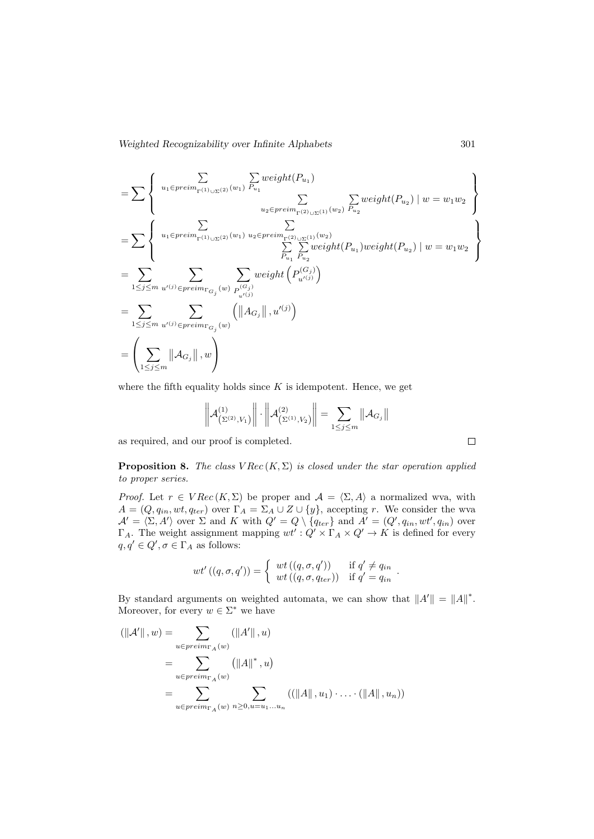$$
= \sum \left\{ \begin{array}{c} \sum_{u_1 \in \text{preim}_{\Gamma(1) \cup \Sigma(2)} (w_1)} \sum_{P_{u_1}} \text{weight}(P_{u_1}) \\ \sum_{u_2 \in \text{preim}_{\Gamma(2) \cup \Sigma(1)} (w_2)} \sum_{P_{u_2}} \text{weight}(P_{u_2}) \mid w = w_1 w_2 \end{array} \right\}
$$
  
\n
$$
= \sum \left\{ \begin{array}{c} \sum_{u_1 \in \text{preim}_{\Gamma(1) \cup \Sigma(2)} (w_1)} \sum_{u_2 \in \text{preim}_{\Gamma(2) \cup \Sigma(1)} (w_2)} \sum_{P_{u_2}} \text{weight}(P_{u_1}) \text{weight}(P_{u_2}) \mid w = w_1 w_2 \end{array} \right\}
$$
  
\n
$$
= \sum_{1 \leq j \leq m} \sum_{u'(j) \in \text{preim}_{\Gamma_{G_j}} (w)} \sum_{P_{u'}(j)} \text{weight}(P_{u'(j)})
$$
  
\n
$$
= \sum_{1 \leq j \leq m} \sum_{u'(j) \in \text{preim}_{\Gamma_{G_j}} (w)} \left( ||A_{G_j}||, u'^{(j)} \right)
$$
  
\n
$$
= \left( \sum_{1 \leq j \leq m} ||A_{G_j}||, w \right)
$$

where the fifth equality holds since  $K$  is idempotent. Hence, we get

$$
\left\| \mathcal{A}^{(1)}_{(\Sigma^{(2)}, V_1)} \right\| \cdot \left\| \mathcal{A}^{(2)}_{(\Sigma^{(1)}, V_2)} \right\| = \sum_{1 \leq j \leq m} \left\| \mathcal{A}_{G_j} \right\|
$$

as required, and our proof is completed.

**Proposition 8.** The class  $VRec(K, \Sigma)$  is closed under the star operation applied to proper series.

*Proof.* Let  $r \in VRec(K, \Sigma)$  be proper and  $\mathcal{A} = \langle \Sigma, A \rangle$  a normalized wva, with  $A = (Q, q_{in}, wt, q_{ter})$  over  $\Gamma_A = \Sigma_A \cup Z \cup \{y\}$ , accepting r. We consider the wva  $\mathcal{A}' = \langle \Sigma, A' \rangle$  over  $\Sigma$  and K with  $Q' = Q \setminus \{q_{ter}\}\$  and  $A' = (Q', q_{in}, wt', q_{in})$  over  $\Gamma_A$ . The weight assignment mapping  $wt': Q' \times \Gamma_A \times Q' \to K$  is defined for every  $q, q' \in Q', \sigma \in \Gamma_A$  as follows:

$$
wt'((q,\sigma,q')) = \begin{cases} wt((q,\sigma,q')) & \text{if } q' \neq q_{in} \\ wt((q,\sigma,q_{ter})) & \text{if } q' = q_{in} \end{cases}.
$$

By standard arguments on weighted automata, we can show that  $||A'|| = ||A||^*$ . Moreover, for every  $w \in \Sigma^*$  we have

$$
(\|\mathcal{A}'\|, w) = \sum_{u \in preim_{\Gamma_A}(w)} (\|\mathcal{A}'\|, u)
$$
  
= 
$$
\sum_{u \in preim_{\Gamma_A}(w)} (\|\mathcal{A}\|^*, u)
$$
  
= 
$$
\sum_{u \in preim_{\Gamma_A}(w)} \sum_{n \ge 0, u = u_1...u_n} ((\|\mathcal{A}\|, u_1) \cdot ... \cdot (\|\mathcal{A}\|, u_n))
$$

 $\Box$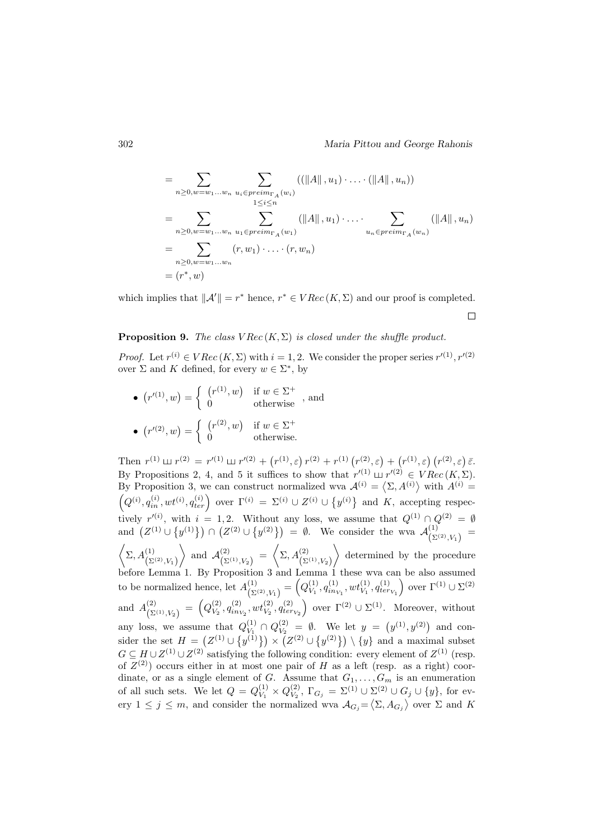$$
= \sum_{n\geq 0, w=w_1...w_n} \sum_{\substack{u_i\in preim_{\Gamma_A}(w_i)\\1\leq i\leq n}} ((\|A\|, u_1) \cdot ... \cdot (\|A\|, u_n))
$$
  

$$
= \sum_{n\geq 0, w=w_1...w_n} \sum_{\substack{u_1\in preim_{\Gamma_A}(w_1)\\u_n\in preim_{\Gamma_A}(w_n)}} (\|A\|, u_1) \cdot ... \cdot \sum_{\substack{u_n\in preim_{\Gamma_A}(w_n)\\u_n\in preim_{\Gamma_A}(w_n)}} (\|A\|, u_n)
$$
  

$$
= \sum_{n\geq 0, w=w_1...w_n} (r, w_1) \cdot ... \cdot (r, w_n)
$$
  

$$
= (r^*, w)
$$

which implies that  $\|\mathcal{A}'\| = r^*$  hence,  $r^* \in VRec(K, \Sigma)$  and our proof is completed.  $\Box$ 

#### **Proposition 9.** The class  $VRec(K, \Sigma)$  is closed under the shuffle product.

*Proof.* Let  $r^{(i)} \in VRec(K, \Sigma)$  with  $i = 1, 2$ . We consider the proper series  $r'^{(1)}, r'^{(2)}$ over  $\Sigma$  and K defined, for every  $w \in \Sigma^*$ , by

•  $(r^{(1)}, w) = \begin{cases} (r^{(1)}, w) & \text{if } w \in \Sigma^+ \\ 0 & \text{otherwise} \end{cases}$ , and •  $(r^{(2)}, w) = \begin{cases} (r^{(2)}, w) & \text{if } w \in \Sigma^+ \\ 0 & \text{otherwise} \end{cases}$ 0 otherwise.

Then  $r^{(1)} \perp r^{(2)} = r'^{(1)} \perp r'^{(2)} + (r^{(1)}, \varepsilon) r^{(2)} + r^{(1)} (r^{(2)}, \varepsilon) + (r^{(1)}, \varepsilon) (r^{(2)}, \varepsilon) \bar{\varepsilon}.$ By Propositions 2, 4, and 5 it suffices to show that  $r'^{(1)} \sqcup r'^{(2)} \in VRec(K, \Sigma)$ . By Proposition 3, we can construct normalized wva  $\mathcal{A}^{(i)} = \langle \Sigma, A^{(i)} \rangle$  with  $A^{(i)} =$  $\left(Q^{(i)}, q_{in}^{(i)}, wt^{(i)}, q_{ter}^{(i)}\right)$  over  $\Gamma^{(i)} = \Sigma^{(i)} \cup Z^{(i)} \cup \{y^{(i)}\}\$  and K, accepting respectively  $r^{(i)}$ , with  $i = 1, 2$ . Without any loss, we assume that  $Q^{(1)} \cap Q^{(2)} = \emptyset$ and  $(Z^{(1)} \cup \{y^{(1)}\}) \cap (Z^{(2)} \cup \{y^{(2)}\}) = \emptyset$ . We consider the wva  $\mathcal{A}^{(1)}_{(N)}$  $\frac{1}{(\Sigma^{(2)}, V_1)} =$  $\left\langle \Sigma, A^{(1)}_{(\Sigma^{(2)}, V_1)} \right\rangle$  $\Big\}$  and  $\mathcal{A}^{(2)}_{(S)}$  $\left(\sum_{\Sigma^{(1)}, V_2}\right) = \left\langle \Sigma, A^{(2)}_{\Sigma^{(1)}, V_2} \right\rangle$  $\angle$  determined by the procedure before Lemma 1. By Proposition 3 and Lemma 1 these wva can be also assumed to be normalized hence, let  $A_{\left(\infty\right)}^{(1)}$  $\binom{(1)}{\sum^{(2)}, V_1} = \binom{Q_{V_1}^{(1)}}{V_1}$  $V^{(1)}_{V_1}, q^{(1)}_{in_{V_1}}, wt^{(1)}_{V_1}, q^{(1)}_{ter_{V_1}}$  over  $\Gamma^{(1)} \cup \Sigma^{(2)}$ and  $A_{\left( \nabla \right)}^{(2)}$  $\frac{\binom{2}{2}}{\binom{\sum^{(1)},V_2}} = \binom{Q_{V_2}^{(2)}}{}$  $V_2, q_{inv_2}^{(2)}, wt_{V_2}^{(2)}, q_{terv_2}^{(2)}$  over  $\Gamma^{(2)} \cup \Sigma^{(1)}$ . Moreover, without any loss, we assume that  $Q_{V_1}^{(1)}$  $V_1^{(1)}\cap Q_{V_2}^{(2)}$  $V_2$  =  $\emptyset$ . We let  $y = (y^{(1)}, y^{(2)})$  and consider the set  $H = (Z^{(1)} \cup \{y^{(1)}\}) \times (Z^{(2)} \cup \{y^{(2)}\}) \setminus \{y\}$  and a maximal subset  $G \subseteq H \cup Z^{(1)} \cup Z^{(2)}$  satisfying the following condition: every element of  $Z^{(1)}$  (resp. of  $Z^{(2)}$ ) occurs either in at most one pair of H as a left (resp. as a right) coordinate, or as a single element of G. Assume that  $G_1, \ldots, G_m$  is an enumeration of all such sets. We let  $Q = Q_{V_1}^{(1)}$  $\frac{(1)}{V_1} \times Q_{V_2}^{(2)}$  $V_2^{(2)}$ ,  $\Gamma_{G_j} = \Sigma^{(1)} \cup \Sigma^{(2)} \cup G_j \cup \{y\}$ , for every  $1 \leq j \leq m$ , and consider the normalized wva  $\mathcal{A}_{G_j} = \langle \Sigma, A_{G_j} \rangle$  over  $\Sigma$  and K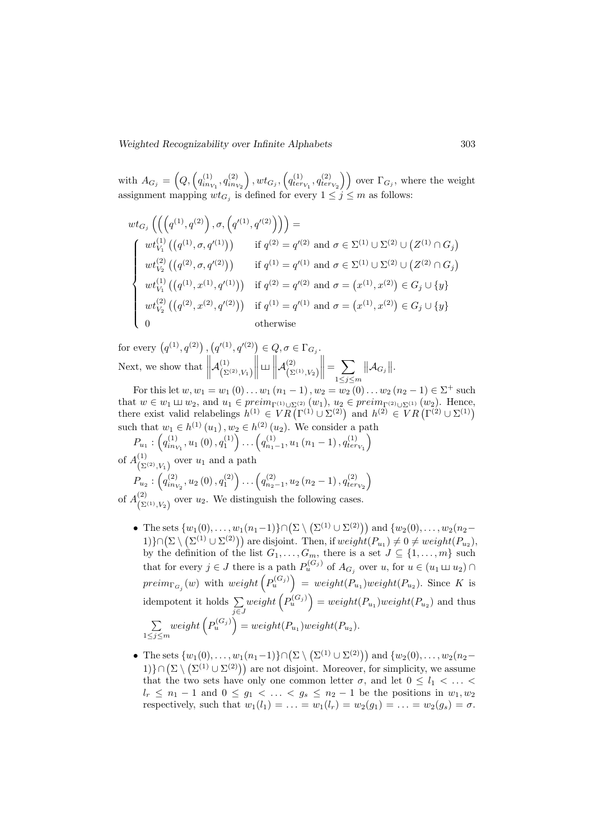with  $A_{G_j} = \left(Q, \left(q_{in_{V_1}}^{(1)}, q_{in_{V_2}}^{(2)}\right)\right)$  $\Big),wt_{G_j},\Big(q_{terv_1}^{(1)},q_{terv_2}^{(2)}\Big)\Big)$  over  $\Gamma_{G_j},$  where the weight assignment mapping  $wt_{G_j}$  is defined for every  $1 \leq j \leq m$  as follows:

$$
wt_{G_j}\left(\left(\left(q^{(1)}, q^{(2)}\right), \sigma, \left(q'^{(1)}, q'^{(2)}\right)\right)\right) =
$$
\n
$$
\begin{cases}\nwt_{V_1}^{(1)}\left(\left(q^{(1)}, \sigma, q'^{(1)}\right)\right) & \text{if } q^{(2)} = q'^{(2)} \text{ and } \sigma \in \Sigma^{(1)} \cup \Sigma^{(2)} \cup \left(Z^{(1)} \cap G_j\right) \\
wt_{V_2}^{(2)}\left(\left(q^{(2)}, \sigma, q'^{(2)}\right)\right) & \text{if } q^{(1)} = q'^{(1)} \text{ and } \sigma \in \Sigma^{(1)} \cup \Sigma^{(2)} \cup \left(Z^{(2)} \cap G_j\right) \\
wt_{V_1}^{(1)}\left(\left(q^{(1)}, x^{(1)}, q'^{(1)}\right)\right) & \text{if } q^{(2)} = q'^{(2)} \text{ and } \sigma = \left(x^{(1)}, x^{(2)}\right) \in G_j \cup \{y\} \\
wt_{V_2}^{(2)}\left(\left(q^{(2)}, x^{(2)}, q'^{(2)}\right)\right) & \text{if } q^{(1)} = q'^{(1)} \text{ and } \sigma = \left(x^{(1)}, x^{(2)}\right) \in G_j \cup \{y\} \\
0 & \text{otherwise}\n\end{cases}
$$

for every  $(q^{(1)}, q^{(2)})$ ,  $(q'^{(1)}, q'^{(2)}) \in Q, \sigma \in \Gamma_{G_j}$ . Next, we show that  $\parallel$  $\mathcal{A}^{(1)}_{\ell_{\Sigma}}$  $\left(\Sigma^{(2)}, V_1\right)$   $\mathbb{L}$  $\mathcal{A}^{(2)}_{\ell, \mathbf{S}}$  $\left(\Sigma^{(1)}, V_2\right)$  $\bigg\| = \sum_{1 \leq j \leq \infty}$  $1\leq j\leq m$  $\Vert \mathcal{A}_{G_j} \Vert.$ 

For this let  $w, w_1 = w_1 (0) \dots w_1 (n_1 - 1)$ ,  $w_2 = w_2 (0) \dots w_2 (n_2 - 1) \in \Sigma^+$  such that  $w \in w_1 \sqcup w_2$ , and  $u_1 \in \text{preim}_{\Gamma^{(1)} \cup \Sigma^{(2)}} (w_1), u_2 \in \text{preim}_{\Gamma^{(2)} \cup \Sigma^{(1)}} (w_2)$ . Hence, there exist valid relabelings  $h^{(1)} \in VR(\Gamma^{(1)} \cup \Sigma^{(2)})$  and  $h^{(2)} \in VR(\Gamma^{(2)} \cup \Sigma^{(1)})$ such that  $w_1 \in h^{(1)}(u_1), w_2 \in h^{(2)}(u_2)$ . We consider a path

$$
P_{u_1}: \left(q_{in_{V_1}}^{(1)}, u_1(0), q_1^{(1)}\right) \dots \left(q_{n_1-1}^{(1)}, u_1(n_1-1), q_{ter_{V_1}}^{(1)}\right)
$$

of  $A_{\infty}^{(1)}$  $\left(\sum^{(1)}(2)$ ,  $V_1\right)$  over  $u_1$  and a path

$$
P_{u_2}: \left(q_{in_{V_2}}^{(2)}, u_2(0), q_1^{(2)}\right) \dots \left(q_{n_2-1}^{(2)}, u_2(n_2-1), q_{ter_{V_2}}^{(2)}\right)
$$

of  $A_{(5)}^{(2)}$  $\left(\sum_{k=1}^{N} (x_k)^{N} \right)$  over  $u_2$ . We distinguish the following cases.

- The sets  $\{w_1(0), \ldots, w_1(n_1-1)\} \cap (\Sigma \setminus (\Sigma^{(1)} \cup \Sigma^{(2)}))$  and  $\{w_2(0), \ldots, w_2(n_2-1)\}$ 1)}∩ $(\Sigma \setminus (\Sigma^{(1)} \cup \Sigma^{(2)}))$  are disjoint. Then, if  $weight(P_{u_1}) \neq 0 \neq weight(P_{u_2}),$ by the definition of the list  $G_1, \ldots, G_m$ , there is a set  $J \subseteq \{1, \ldots, m\}$  such that for every  $j \in J$  there is a path  $P_u^{(G_j)}$  of  $A_{G_j}$  over  $u$ , for  $u \in (u_1 \sqcup u_2) \cap$  $\text{preim}_{\Gamma_{G_j}}(w)$  with  $\text{weight}\left(P_u^{(G_j)}\right) = \text{weight}(P_{u_1}) \text{weight}(P_{u_2})$ . Since K is idempotent it holds  $\Sigma$ j∈J  $weight\left(P_u^{(G_j)}\right) = weight(P_{u_1})weight(P_{u_2})$  and thus  $\sum$  $1\leq j\leq m$  $weight\left(P_u^{(G_j)}\right) = weight(P_{u_1})weight(P_{u_2}).$
- The sets  $\{w_1(0), \ldots, w_1(n_1-1)\} \cap (\Sigma \setminus (\Sigma^{(1)} \cup \Sigma^{(2)}))$  and  $\{w_2(0), \ldots, w_2(n_2-1)\}$ 1)}∩( $\Sigma \setminus (\Sigma^{(1)} \cup \Sigma^{(2)})$ ) are not disjoint. Moreover, for simplicity, we assume that the two sets have only one common letter  $\sigma$ , and let  $0 \leq l_1 < \ldots <$  $l_r \leq n_1 - 1$  and  $0 \leq g_1 < \ldots < g_s \leq n_2 - 1$  be the positions in  $w_1, w_2$ respectively, such that  $w_1(l_1) = \ldots = w_1(l_r) = w_2(g_1) = \ldots = w_2(g_s) = \sigma$ .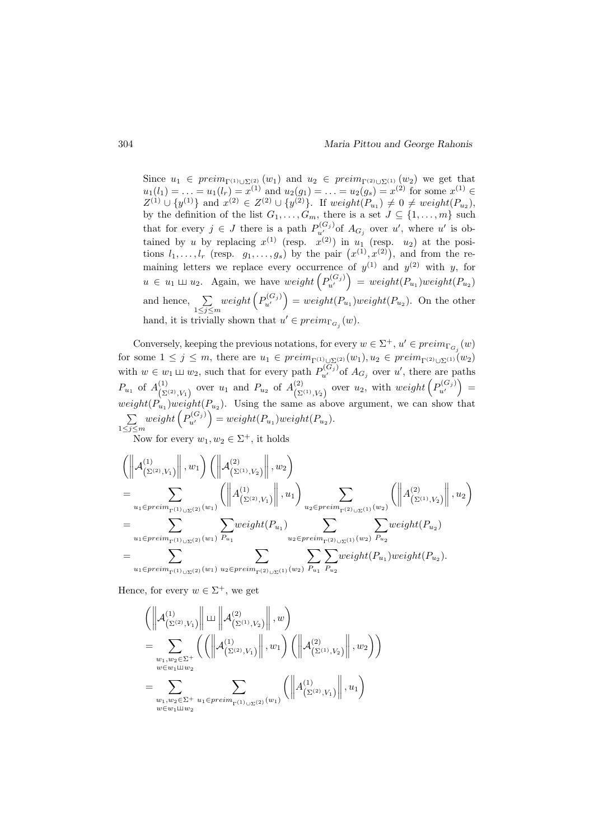Since  $u_1 \in \text{preim}_{\Gamma^{(1)} \cup \Sigma^{(2)}} (w_1)$  and  $u_2 \in \text{preim}_{\Gamma^{(2)} \cup \Sigma^{(1)}} (w_2)$  we get that  $u_1(l_1) = \ldots = u_1(l_r) = x^{(1)}$  and  $u_2(g_1) = \ldots = u_2(g_s) = x^{(2)}$  for some  $x^{(1)} \in$  $Z^{(1)} \cup \{y^{(1)}\}$  and  $x^{(2)} \in Z^{(2)} \cup \{y^{(2)}\}$ . If  $weight(P_{u_1}) \neq 0 \neq weight(P_{u_2})$ , by the definition of the list  $G_1, \ldots, G_m$ , there is a set  $J \subseteq \{1, \ldots, m\}$  such that for every  $j \in J$  there is a path  $P_{u'}^{(G_j)}$  of  $A_{G_j}$  over u', where u' is obtained by u by replacing  $x^{(1)}$  (resp.  $x^{(2)}$ ) in  $u_1$  (resp.  $u_2$ ) at the positions  $l_1, \ldots, l_r$  (resp.  $g_1, \ldots, g_s$ ) by the pair  $(x^{(1)}, x^{(2)})$ , and from the remaining letters we replace every occurrence of  $y^{(1)}$  and  $y^{(2)}$  with y, for  $u \in u_1 \sqcup u_2$ . Again, we have  $weight\left(P_{u'}^{(G_j)}\right) = weight(P_{u_1})weight(P_{u_2})$ and hence,  $\Sigma$  $1\leq j\leq m$  $weight\left(P_{u'}^{(G_j)}\right) = weight(P_{u_1})weight(P_{u_2})$ . On the other hand, it is trivially shown that  $u' \in \text{preim}_{\Gamma_{G_j}}(w)$ .

Conversely, keeping the previous notations, for every  $w \in \Sigma^+$ ,  $u' \in preim_{\Gamma_{G_j}}(w)$ for some  $1 \leq j \leq m$ , there are  $u_1 \in \text{preim}_{\Gamma^{(1)} \cup \Sigma^{(2)}}(w_1), u_2 \in \text{preim}_{\Gamma^{(2)} \cup \Sigma^{(1)}}(w_2)$ with  $w \in w_1 \sqcup w_2$ , such that for every path  $P_{u'}^{(G_j)}$  of  $A_{G_j}$  over u', there are paths  $P_{u_1}$  of  $A_{(\Sigma)}^{(1)}$  $\binom{(1)}{(\Sigma^{(2)}, V_1)}$  over  $u_1$  and  $P_{u_2}$  of  $A^{(2)}_{(\Sigma)}$  $\sum_{(\Sigma^{(1)}, V_2)}^{(2)}$  over  $u_2$ , with  $weight\left(P_{u'}^{(G_j)}\right)$  =  $weight(P_{u_1})weight(P_{u_2})$ . Using the same as above argument, we can show that  $\sum$  $1\leq j\leq m$  $weight\left(P_{u'}^{(G_j)}\right) = weight(P_{u_1})weight(P_{u_2}).$ 

Now for every  $w_1, w_2 \in \Sigma^+$ , it holds

$$
\label{eq:21} \begin{split} &\left(\left\|{\cal A}_{\left(\Sigma^{(2)},V_{1}\right)}^{(1)}\right\|,w_{1}\right)\left(\left\|{\cal A}_{\left(\Sigma^{(1)},V_{2}\right)}^{(2)}\right\|,w_{2}\right)\\ &=\sum_{u_{1}\in\text{preim}_{\Gamma^{(1)}\cup\Sigma^{(2)}}(w_{1})}\left(\left\|{\cal A}_{\left(\Sigma^{(2)},V_{1}\right)}^{(1)}\right\|,u_{1}\right)\sum_{u_{2}\in\text{preim}_{\Gamma^{(2)}\cup\Sigma^{(1)}}(w_{2})}\left(\left\|{\cal A}_{\left(\Sigma^{(1)},V_{2}\right)}^{(2)}\right\|,u_{2}\right)\\ &=\sum_{u_{1}\in\text{preim}_{\Gamma^{(1)}\cup\Sigma^{(2)}}(w_{1})}\sum_{P_{u_{1}}}\text{weight}(P_{u_{1}})\sum_{u_{2}\in\text{preim}_{\Gamma^{(2)}\cup\Sigma^{(1)}}(w_{2})}\sum_{P_{u_{2}}}\text{weight}(P_{u_{2}})\\ &=\sum_{u_{1}\in\text{preim}_{\Gamma^{(1)}\cup\Sigma^{(2)}}(w_{1})}\sum_{u_{2}\in\text{preim}_{\Gamma^{(2)}\cup\Sigma^{(1)}}(w_{2})}\sum_{P_{u_{1}}}\sum_{P_{u_{2}}} \text{weight}(P_{u_{1}})\text{weight}(P_{u_{2}}). \end{split}
$$

Hence, for every  $w \in \Sigma^+$ , we get

$$
\left( \left\| \mathcal{A}^{(1)}_{(\Sigma^{(2)}, V_1)} \right\| \sqcup \left\| \mathcal{A}^{(2)}_{(\Sigma^{(1)}, V_2)} \right\|, w \right) \n= \sum_{\substack{w_1, w_2 \in \Sigma^+ \\ w \in w_1 \sqcup w_2}} \left( \left( \left\| \mathcal{A}^{(1)}_{(\Sigma^{(2)}, V_1)} \right\|, w_1 \right) \left( \left\| \mathcal{A}^{(2)}_{(\Sigma^{(1)}, V_2)} \right\|, w_2 \right) \right) \n= \sum_{\substack{w_1, w_2 \in \Sigma^+ \\ w \in w_1 \sqcup w_2}} \sum_{u_1 \in \text{preim}^+_{\Gamma^{(1)} \cup \Sigma^{(2)}} (w_1)} \left( \left\| \mathcal{A}^{(1)}_{(\Sigma^{(2)}, V_1)} \right\|, u_1 \right)
$$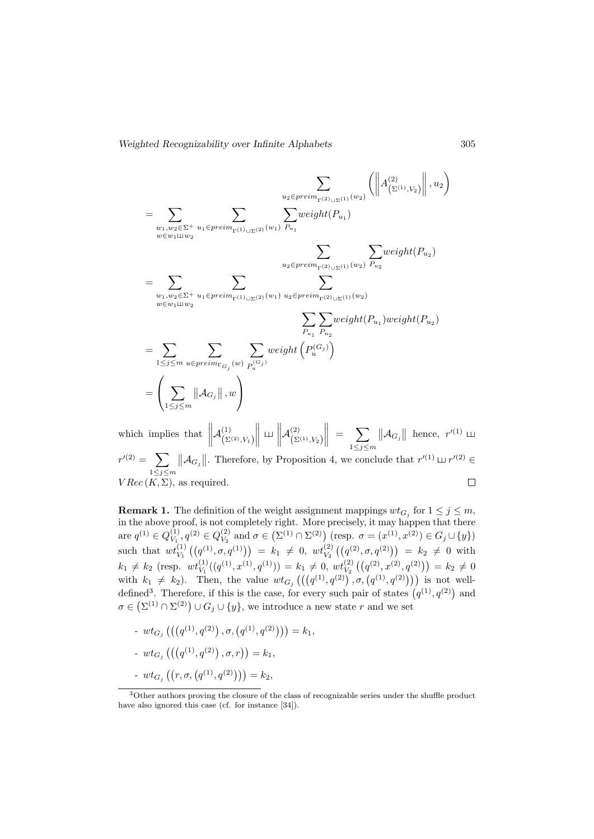$$
\sum_{\substack{w_1, w_2 \in \Sigma^+ \\ w \in w_1 \sqcup w_2}} \sum_{\substack{u_1 \in \text{preim} \\ w \in w_1 \sqcup w_2}} \sum_{\substack{w_2 \in \text{preim} \\ w \in w_1 \sqcup w_2}} \sum_{\substack{w_1 \in \text{preim} \\ w_1 \sqcup w_2}} \sum_{\substack{w_2 \in \text{preim} \\ w_1 \sqcup w_2}} \sum_{\substack{w_2 \in \text{preim} \\ w_1 \sqcup w_2}} \sum_{\substack{w_2 \in \text{preim} \\ w_2 \in \text{preim} \\ w_1 \sqcup w_2}} \sum_{\substack{w_2 \in \text{preim} \\ w_2 \sqcup w_1 \sqcup w_2}} \sum_{\substack{w_2 \in \text{preim} \\ w_1 \sqcup w_2}} \sum_{\substack{w_2 \in \text{preim} \\ w_2 \sqcup w_1 \sqcup w_2}} \sum_{\substack{w_2 \in \text{preim} \\ w_1 \sqcup w_2}} \sum_{\substack{w_2 \sqcup w_2 \sqcup w_2 \sqcup w_2}} \sum_{\substack{w_2 \sqcup w_2 \sqcup w_2 \sqcup w_2}} \sum_{\substack{w_2 \sqcup w_2 \sqcup w_2 \sqcup w_2}} \sum_{\substack{w_2 \sqcup w_2 \sqcup w_2 \sqcup w_2}} \sum_{\substack{w_2 \sqcup w_2 \sqcup w_2 \sqcup w_2}} \sum_{\substack{w_2 \sqcup w_2 \sqcup w_2 \sqcup w_2}} \sum_{\substack{w_2 \sqcup w_2 \sqcup w_2 \sqcup w_2 \sqcup w_2}} \sum_{\substack{w_2 \sqcup w_2 \sqcup w_2 \sqcup w_2 \sqcup w_2}} \sum_{\substack{w_2 \sqcup w_2 \sqcup w_2 \sqcup w_2 \sqcup w_2 \sqcup w_2}} \sum_{\substack{w_2 \sqcup \neg w_2 \sqcup w_2 \sqcup w_2 \sqcup w_2 \sqcup w_2 \sqcup w_2}} \sum_{\substack{w_2 \sqcup \neg w_2 \sqcup w_2 \sqcup w_2 \sqcup w_2 \sqcup w_2}} \sum_{\substack{w_2 \sqcup \neg w_2 \sqcup w_2 \sqcup w_
$$

which implies that  $\parallel$  $\begin{array}{c} \hline \end{array}$  $\begin{array}{c} \begin{array}{c} \begin{array}{c} \begin{array}{c} \end{array} \end{array} \end{array} \end{array}$  $\Big\| = \sum_{1 \leq j \leq \mathbb{N}}$  $\mathcal{A}^{(1)}_{\scriptscriptstyle\prime}$  $\mathcal{A}^{(2)}_{\scriptscriptstyle\prime}$  $\|\mathcal{A}_{G_j}\|$  hence,  $r'^{(1)} \perp$  $\left(\Sigma^{(2)}, V_1\right)$  $\left(\Sigma^{(1)}, V_2\right)$  $1\leq j\leq m$  $r^{\prime\left( 2\right) }=\text{ \ }\sum% _{i}\left( r^{\prime\left( 2\right) }=r^{\prime\left( 2\right) }\right)$  $||\mathcal{A}_{G_j}||$ . Therefore, by Proposition 4, we conclude that  $r^{(1)} \sqcup r^{(2)} \in$  $1\leq j\leq m$  $VRec(K, \Sigma)$ , as required.  $\Box$ 

**Remark 1.** The definition of the weight assignment mappings  $wt_{G_j}$  for  $1 \leq j \leq m$ , in the above proof, is not completely right. More precisely, it may happen that there are  $q^{(1)} \in Q_{V_1}^{(1)}$  $\begin{aligned} \mathcal{U}^{(1)}_{V_1}, q^{(2)} \in Q_{V_2}^{(2)} \end{aligned}$  $V_2^{(2)}$  and  $\sigma \in (\Sigma^{(1)} \cap \Sigma^{(2)})$  (resp.  $\sigma = (x^{(1)}, x^{(2)}) \in G_j \cup \{y\})$ such that  $wt_{V_1}^{(1)}((q^{(1)}, \sigma, q^{(1)})) = k_1 \neq 0$ ,  $wt_{V_2}^{(2)}((q^{(2)}, \sigma, q^{(2)})) = k_2 \neq 0$  with  $k_1 \neq k_2 \text{ (resp. } wt_{V_1}^{(1)}((q^{(1)}, x^{(1)}, q^{(1)})) = k_1 \neq 0, wt_{V_2}^{(2)}((q^{(2)}, x^{(2)}, q^{(2)})) = k_2 \neq 0$ with  $k_1 \neq k_2$ ). Then, the value  $wt_{G_j}((q^{(1)}, q^{(2)}) , \sigma, (q^{(1)}, q^{(2)})))$  is not welldefined<sup>3</sup>. Therefore, if this is the case, for every such pair of states  $(q^{(1)}, q^{(2)})$  and  $\sigma \in (\Sigma^{(1)} \cap \Sigma^{(2)}) \cup G_j \cup \{y\},\$  we introduce a new state r and we set

 $-~wt_{G_{j}}\left(\left(\left(q^{(1)},q^{(2)}\right),\sigma,\left(q^{(1)},q^{(2)}\right)\right)\right)=k_{1},$ -  $wt_{G_j}\left(\left(\left(q^{(1)},q^{(2)}\right),\sigma,r\right)\right)=k_1,$  $- w t_{G_j} \left( (r, \sigma, (q^{(1)}, q^{(2)})) \right) = k_2,$ 

<sup>3</sup>Other authors proving the closure of the class of recognizable series under the shuffle product have also ignored this case (cf. for instance [34]).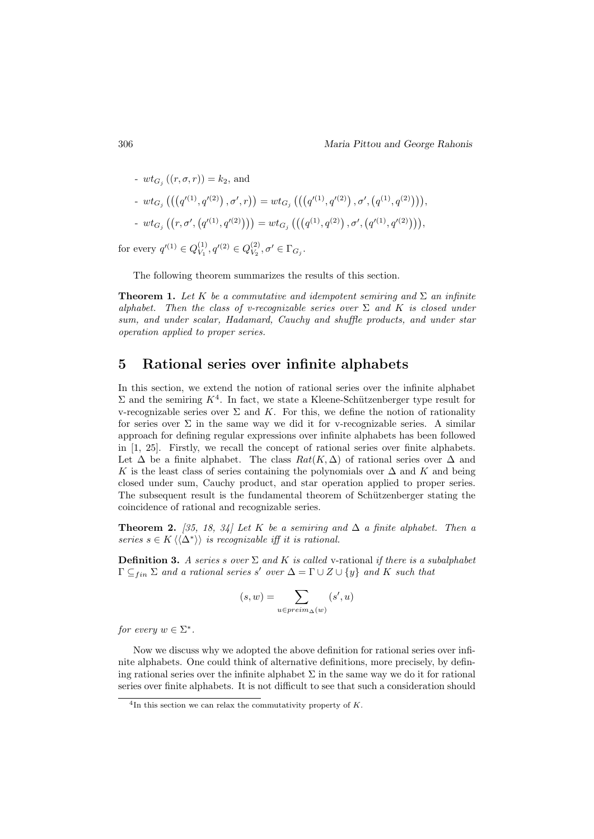- 
$$
wt_{G_j}((r, \sigma, r)) = k_2
$$
, and  
\n-  $wt_{G_j}((q'^{(1)}, q'^{(2)}), \sigma', r)) = wt_{G_j}(((q'^{(1)}, q'^{(2)}), \sigma', (q^{(1)}, q^{(2)}))),$   
\n-  $wt_{G_j}((r, \sigma', (q'^{(1)}, q'^{(2)}))) = wt_{G_j}(((q^{(1)}, q^{(2)}), \sigma', (q'^{(1)}, q'^{(2)}))),$ 

for every  $q'^{(1)} \in Q_V^{(1)}$  $V_1^{(1)}, q^{\prime (2)} \in Q_{V_2}^{(2)}$  $V_2^{(2)}, \sigma' \in \Gamma_{G_j}.$ 

The following theorem summarizes the results of this section.

**Theorem 1.** Let K be a commutative and idempotent semiring and  $\Sigma$  an infinite alphabet. Then the class of v-recognizable series over  $\Sigma$  and K is closed under sum, and under scalar, Hadamard, Cauchy and shuffle products, and under star operation applied to proper series.

## 5 Rational series over infinite alphabets

In this section, we extend the notion of rational series over the infinite alphabet  $\Sigma$  and the semiring  $K^4$ . In fact, we state a Kleene-Schützenberger type result for v-recognizable series over  $\Sigma$  and K. For this, we define the notion of rationality for series over  $\Sigma$  in the same way we did it for v-recognizable series. A similar approach for defining regular expressions over infinite alphabets has been followed in [1, 25]. Firstly, we recall the concept of rational series over finite alphabets. Let  $\Delta$  be a finite alphabet. The class  $Rat(K,\Delta)$  of rational series over  $\Delta$  and K is the least class of series containing the polynomials over  $\Delta$  and K and being closed under sum, Cauchy product, and star operation applied to proper series. The subsequent result is the fundamental theorem of Schützenberger stating the coincidence of rational and recognizable series.

**Theorem 2.** [35, 18, 34] Let K be a semiring and  $\Delta$  a finite alphabet. Then a series  $s \in K \langle \langle \Delta^* \rangle \rangle$  is recognizable iff it is rational.

**Definition 3.** A series s over  $\Sigma$  and K is called v-rational if there is a subalphabet  $\Gamma \subseteq_{fin} \Sigma$  and a rational series s' over  $\Delta = \Gamma \cup Z \cup \{y\}$  and K such that

$$
(s,w)=\sum_{u\in\mathit{preim}_\Delta(w)}(s',u)
$$

for every  $w \in \Sigma^*$ .

Now we discuss why we adopted the above definition for rational series over infinite alphabets. One could think of alternative definitions, more precisely, by defining rational series over the infinite alphabet  $\Sigma$  in the same way we do it for rational series over finite alphabets. It is not difficult to see that such a consideration should

 ${}^{4}$ In this section we can relax the commutativity property of K.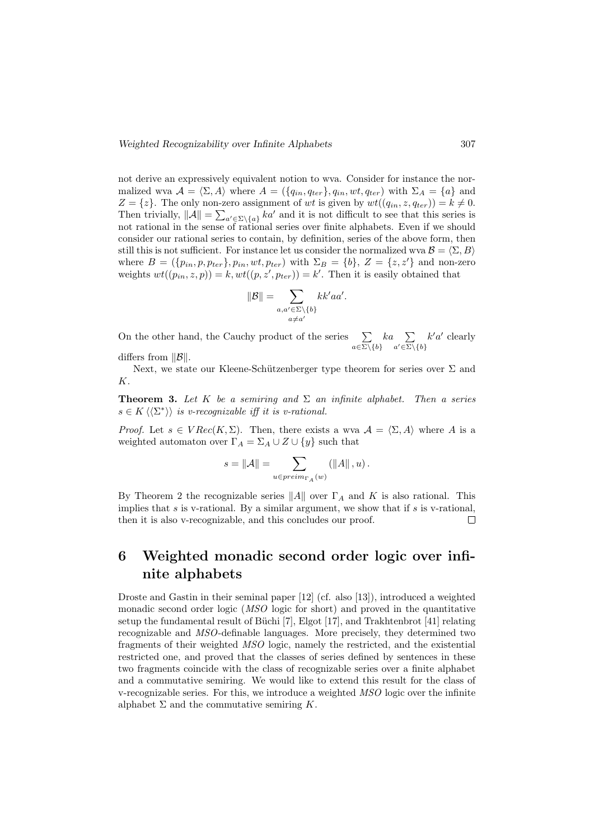not derive an expressively equivalent notion to wva. Consider for instance the normalized wva  $\mathcal{A} = \langle \Sigma, A \rangle$  where  $A = (\{q_{in}, q_{ter}\}, q_{in}, wt, q_{ter})$  with  $\Sigma_A = \{a\}$  and  $Z = \{z\}.$  The only non-zero assignment of wt is given by  $wt((q_{in}, z, q_{ter})) = k \neq 0$ . Then trivially,  $||A|| = \sum_{a' \in \Sigma \setminus \{a\}} ka'$  and it is not difficult to see that this series is not rational in the sense of rational series over finite alphabets. Even if we should consider our rational series to contain, by definition, series of the above form, then still this is not sufficient. For instance let us consider the normalized wva  $\mathcal{B} = \langle \Sigma, B \rangle$ where  $B = (\{p_{in}, p, p_{ter}\}, p_{in}, wt, p_{ter})$  with  $\Sigma_B = \{b\}, Z = \{z, z'\}$  and non-zero weights  $wt((p_{in}, z, p)) = k, wt((p, z', p_{ter})) = k'$ . Then it is easily obtained that

$$
\|\mathcal{B}\| = \sum_{\substack{a, a' \in \Sigma \setminus \{b\} \\ a \neq a'}} k k' a a'
$$

.

On the other hand, the Cauchy product of the series  $\sum$  $a \in \Sigma \backslash \{b\}$  $ka \sum$  $a' \in \Sigma \backslash \{b\}$  $k'a'$  clearly

differs from  $||\mathcal{B}||$ .

Next, we state our Kleene-Schützenberger type theorem for series over  $\Sigma$  and K.

**Theorem 3.** Let K be a semiring and  $\Sigma$  an infinite alphabet. Then a series  $s \in K \langle \langle \Sigma^* \rangle \rangle$  is v-recognizable iff it is v-rational.

*Proof.* Let  $s \in VRec(K, \Sigma)$ . Then, there exists a wva  $\mathcal{A} = \langle \Sigma, A \rangle$  where A is a weighted automaton over  $\Gamma_A = \Sigma_A \cup Z \cup \{y\}$  such that

$$
s=\left\|\mathcal{A}\right\|=\sum_{u\in preim_{\Gamma_A}\left(w\right)}\left(\left\|A\right\|,u\right).
$$

By Theorem 2 the recognizable series  $||A||$  over  $\Gamma_A$  and K is also rational. This implies that s is v-rational. By a similar argument, we show that if s is v-rational. then it is also v-recognizable, and this concludes our proof.  $\Box$ 

## 6 Weighted monadic second order logic over infinite alphabets

Droste and Gastin in their seminal paper [12] (cf. also [13]), introduced a weighted monadic second order logic (MSO logic for short) and proved in the quantitative setup the fundamental result of Büchi  $[7]$ , Elgot  $[17]$ , and Trakhtenbrot  $[41]$  relating recognizable and MSO-definable languages. More precisely, they determined two fragments of their weighted MSO logic, namely the restricted, and the existential restricted one, and proved that the classes of series defined by sentences in these two fragments coincide with the class of recognizable series over a finite alphabet and a commutative semiring. We would like to extend this result for the class of v-recognizable series. For this, we introduce a weighted MSO logic over the infinite alphabet  $\Sigma$  and the commutative semiring K.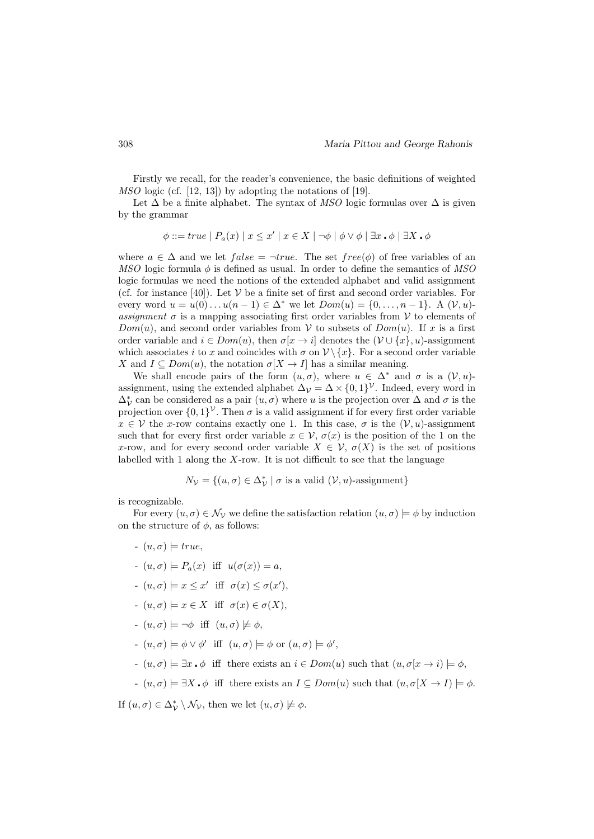Firstly we recall, for the reader's convenience, the basic definitions of weighted MSO logic (cf. [12, 13]) by adopting the notations of [19].

Let  $\Delta$  be a finite alphabet. The syntax of MSO logic formulas over  $\Delta$  is given by the grammar

$$
\phi ::= true \mid P_a(x) \mid x \leq x' \mid x \in X \mid \neg \phi \mid \phi \vee \phi \mid \exists x \cdot \phi \mid \exists X \cdot \phi
$$

where  $a \in \Delta$  and we let  $false = \neg true$ . The set  $free(\phi)$  of free variables of an MSO logic formula  $\phi$  is defined as usual. In order to define the semantics of MSO logic formulas we need the notions of the extended alphabet and valid assignment (cf. for instance [40]). Let  $V$  be a finite set of first and second order variables. For every word  $u = u(0) \dots u(n-1) \in \Delta^*$  we let  $Dom(u) = \{0, \dots, n-1\}$ . A  $(\mathcal{V}, u)$ assignment  $\sigma$  is a mapping associating first order variables from V to elements of  $Dom(u)$ , and second order variables from V to subsets of  $Dom(u)$ . If x is a first order variable and  $i \in Dom(u)$ , then  $\sigma[x \to i]$  denotes the  $(\mathcal{V} \cup \{x\}, u)$ -assignment which associates i to x and coincides with  $\sigma$  on  $\mathcal{V}\setminus\{x\}$ . For a second order variable X and  $I \subseteq Dom(u)$ , the notation  $\sigma[X \to I]$  has a similar meaning.

We shall encode pairs of the form  $(u, \sigma)$ , where  $u \in \Delta^*$  and  $\sigma$  is a  $(\mathcal{V}, u)$ assignment, using the extended alphabet  $\Delta_{\mathcal{V}} = \Delta \times \{0,1\}^{\mathcal{V}}$ . Indeed, every word in  $\Delta_{\mathcal{V}}^*$  can be considered as a pair  $(u, \sigma)$  where u is the projection over  $\Delta$  and  $\sigma$  is the projection over  $\{0,1\}^{\mathcal{V}}$ . Then  $\sigma$  is a valid assignment if for every first order variable  $x \in V$  the x-row contains exactly one 1. In this case,  $\sigma$  is the  $(V, u)$ -assignment such that for every first order variable  $x \in V$ ,  $\sigma(x)$  is the position of the 1 on the x-row, and for every second order variable  $X \in \mathcal{V}$ ,  $\sigma(X)$  is the set of positions labelled with 1 along the  $X$ -row. It is not difficult to see that the language

$$
N_{\mathcal{V}} = \{(u, \sigma) \in \Delta_{\mathcal{V}}^* \mid \sigma \text{ is a valid } (\mathcal{V}, u)\text{-assignment}\}
$$

is recognizable.

For every  $(u, \sigma) \in \mathcal{N}_{\mathcal{V}}$  we define the satisfaction relation  $(u, \sigma) \models \phi$  by induction on the structure of  $\phi$ , as follows:

- $(u, \sigma) \models true,$
- $(u, \sigma) \models P_a(x)$  iff  $u(\sigma(x)) = a$ ,
- $(u, \sigma) \models x \leq x'$  iff  $\sigma(x) \leq \sigma(x'),$
- $(u, \sigma) \models x \in X$  iff  $\sigma(x) \in \sigma(X)$ ,
- $-u, \sigma \models \neg \phi \text{ iff } (u, \sigma) \not\models \phi,$
- $\mathcal{L}(u, \sigma) \models \phi \lor \phi' \text{ iff } (u, \sigma) \models \phi \text{ or } (u, \sigma) \models \phi',$
- $(u, \sigma) \models \exists x \cdot \phi$  iff there exists an  $i \in Dom(u)$  such that  $(u, \sigma(x \to i) \models \phi,$
- $(u, \sigma) \models \exists X \cdot \phi$  iff there exists an  $I \subseteq Dom(u)$  such that  $(u, \sigma[X \to I]) \models \phi$ .

If  $(u, \sigma) \in \Delta_{\mathcal{V}}^* \setminus \mathcal{N}_{\mathcal{V}}$ , then we let  $(u, \sigma) \not\models \phi$ .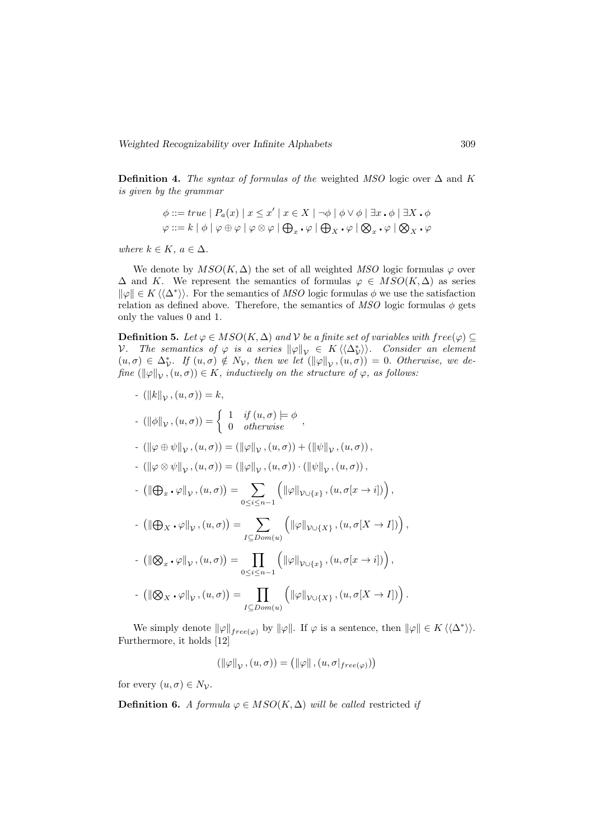Definition 4. The syntax of formulas of the weighted MSO logic over  $\Delta$  and K is given by the grammar

$$
\phi ::= true \mid P_a(x) \mid x \leq x' \mid x \in X \mid \neg \phi \mid \phi \lor \phi \mid \exists x . \phi \mid \exists X . \phi
$$
  

$$
\varphi ::= k \mid \phi \mid \varphi \oplus \varphi \mid \varphi \otimes \varphi \mid \bigoplus_x . \varphi \mid \bigoplus_x . \varphi \mid \bigotimes_x . \varphi \mid \bigotimes_x . \varphi
$$

where  $k \in K$ ,  $a \in \Delta$ .

We denote by  $MSO(K, \Delta)$  the set of all weighted MSO logic formulas  $\varphi$  over  $\Delta$  and K. We represent the semantics of formulas  $\varphi \in MSO(K, \Delta)$  as series  $\|\varphi\| \in K \langle\langle \Delta^* \rangle\rangle$ . For the semantics of MSO logic formulas  $\phi$  we use the satisfaction relation as defined above. Therefore, the semantics of MSO logic formulas  $\phi$  gets only the values 0 and 1.

Definition 5. Let  $\varphi \in MSO(K, \Delta)$  and V be a finite set of variables with  $free(\varphi) \subseteq$ V. The semantics of  $\varphi$  is a series  $\|\varphi\|_{\mathcal{V}} \in K\langle\langle\Delta_V^*\rangle\rangle$ . Consider an element  $(u, \sigma) \in \Delta_{\mathcal{V}}^*$ . If  $(u, \sigma) \notin N_{\mathcal{V}}$ , then we let  $(\|\varphi\|_{\mathcal{V}}, (u, \sigma)) = 0$ . Otherwise, we define  $(\|\varphi\|_{\mathcal{V}},(u,\sigma)) \in K$ , inductively on the structure of  $\varphi$ , as follows:

- 
$$
(||k||_{\mathcal{V}}, (u, \sigma)) = k
$$
,  
\n-  $(||\phi||_{\mathcal{V}}, (u, \sigma)) = \begin{cases} 1 & \text{if } (u, \sigma) \models \phi \\ 0 & \text{otherwise} \end{cases}$ ,  
\n-  $(||\varphi \oplus \psi||_{\mathcal{V}}, (u, \sigma)) = (||\varphi||_{\mathcal{V}}, (u, \sigma)) + (||\psi||_{\mathcal{V}}, (u, \sigma)),$   
\n-  $(||\varphi \otimes \psi||_{\mathcal{V}}, (u, \sigma)) = (||\varphi||_{\mathcal{V}}, (u, \sigma)) \cdot (||\psi||_{\mathcal{V}}, (u, \sigma)),$   
\n-  $(||\varphi_x \cdot \varphi||_{\mathcal{V}}, (u, \sigma)) = \sum_{0 \le i \le n-1} (||\varphi||_{\mathcal{V} \cup \{x\}}, (u, \sigma[x \rightarrow i])),$   
\n-  $(||\varphi_x \cdot \varphi||_{\mathcal{V}}, (u, \sigma)) = \sum_{I \subseteq Dom(u)} (||\varphi||_{\mathcal{V} \cup \{X\}}, (u, \sigma[X \rightarrow I])),$   
\n-  $(||\varphi_x \cdot \varphi||_{\mathcal{V}}, (u, \sigma)) = \prod_{0 \le i \le n-1} (||\varphi||_{\mathcal{V} \cup \{x\}}, (u, \sigma[x \rightarrow i])),$   
\n-  $(||\varphi_x \cdot \varphi||_{\mathcal{V}}, (u, \sigma)) = \prod_{0 \le i \le n-1} (||\varphi||_{\mathcal{V} \cup \{x\}}, (u, \sigma[x \rightarrow i])).$ 

We simply denote  $\|\varphi\|_{free(\varphi)}$  by  $\|\varphi\|$ . If  $\varphi$  is a sentence, then  $\|\varphi\| \in K \langle\langle \Delta^* \rangle\rangle$ . Furthermore, it holds [12]

$$
(\|\varphi\|_{\mathcal{V}}, (u, \sigma)) = (\|\varphi\|, (u, \sigma|_{free(\varphi)}))
$$

for every  $(u, \sigma) \in N_{\mathcal{V}}$ .

Definition 6. A formula  $\varphi \in MSO(K, \Delta)$  will be called restricted if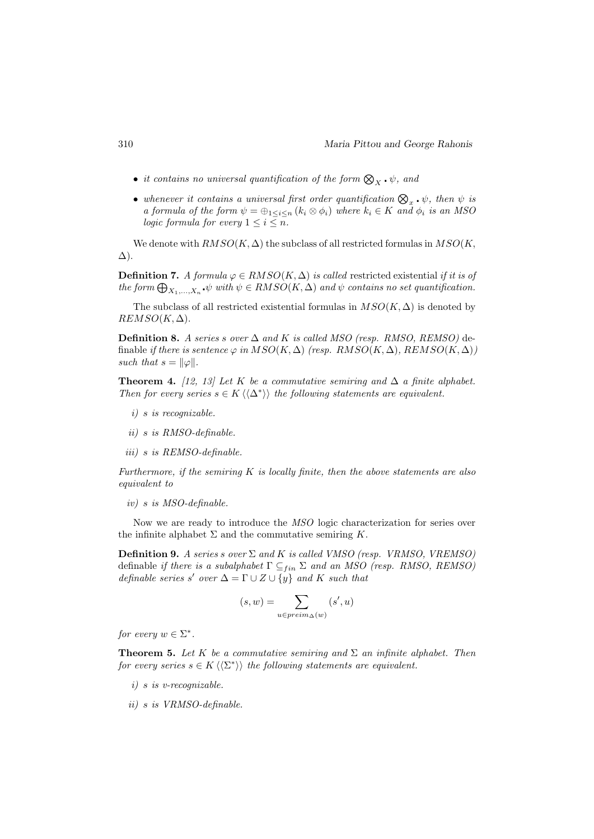- it contains no universal quantification of the form  $\bigotimes_X \cdot \psi$ , and
- whenever it contains a universal first order quantification  $\bigotimes_{x} \cdot \psi$ , then  $\psi$  is a formula of the form  $\psi = \bigoplus_{1 \leq i \leq n} (k_i \otimes \phi_i)$  where  $k_i \in K$  and  $\phi_i$  is an MSO logic formula for every  $1 \leq i \leq n$ .

We denote with  $RMSO(K, \Delta)$  the subclass of all restricted formulas in  $MSO(K, \Delta)$ ∆).

**Definition 7.** A formula  $\varphi \in RMSO(K, \Delta)$  is called restricted existential if it is of the form  $\bigoplus_{X_1,\ldots,X_n} \psi$  with  $\psi \in RMSO(K,\Delta)$  and  $\psi$  contains no set quantification.

The subclass of all restricted existential formulas in  $MSO(K, \Delta)$  is denoted by  $REMSO(K, \Delta).$ 

**Definition 8.** A series s over  $\Delta$  and K is called MSO (resp. RMSO, REMSO) definable if there is sentence  $\varphi$  in  $MSO(K, \Delta)$  (resp.  $RMSO(K, \Delta)$ ,  $REMSO(K, \Delta)$ ) such that  $s = ||\varphi||$ .

**Theorem 4.** [12, 13] Let K be a commutative semiring and  $\Delta$  a finite alphabet. Then for every series  $s \in K \langle \langle \Delta^* \rangle \rangle$  the following statements are equivalent.

- i) s is recognizable.
- ii) s is RMSO-definable.
- iii) s is REMSO-definable.

Furthermore, if the semiring  $K$  is locally finite, then the above statements are also equivalent to

iv) s is MSO-definable.

Now we are ready to introduce the MSO logic characterization for series over the infinite alphabet  $\Sigma$  and the commutative semiring  $K$ .

**Definition 9.** A series s over  $\Sigma$  and K is called VMSO (resp. VRMSO, VREMSO) definable if there is a subalphabet  $\Gamma \subseteq_{fin} \Sigma$  and an MSO (resp. RMSO, REMSO) definable series s' over  $\Delta = \Gamma \cup Z \cup \{y\}$  and K such that

$$
(s,w)=\sum_{u\in\mathit{preim}_\Delta(w)}(s',u)
$$

for every  $w \in \Sigma^*$ .

**Theorem 5.** Let K be a commutative semiring and  $\Sigma$  an infinite alphabet. Then for every series  $s \in K \langle \langle \Sigma^* \rangle \rangle$  the following statements are equivalent.

- i) s is v-recognizable.
- ii) s is VRMSO-definable.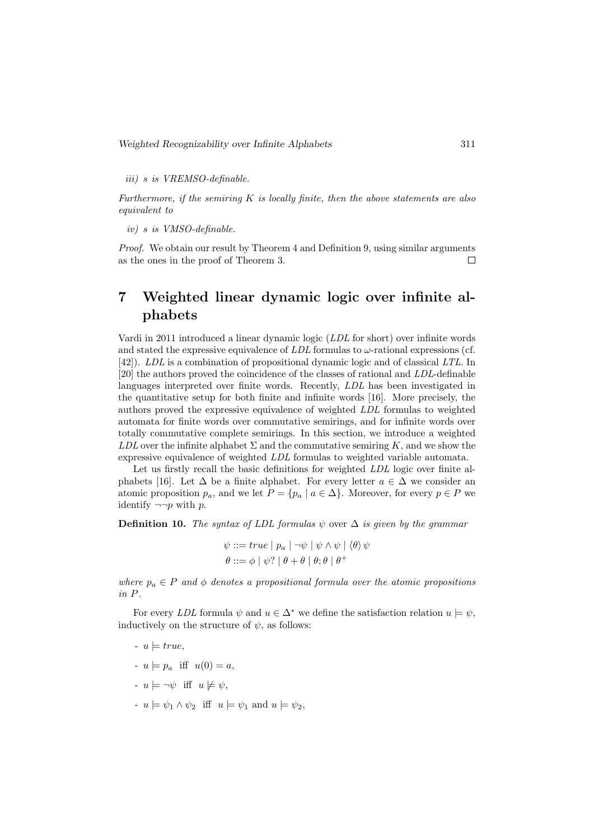iii) s is VREMSO-definable.

Furthermore, if the semiring  $K$  is locally finite, then the above statements are also equivalent to

iv) s is VMSO-definable.

*Proof.* We obtain our result by Theorem 4 and Definition 9, using similar arguments as the ones in the proof of Theorem 3.  $\Box$ 

# 7 Weighted linear dynamic logic over infinite alphabets

Vardi in 2011 introduced a linear dynamic logic (LDL for short) over infinite words and stated the expressive equivalence of  $LDL$  formulas to  $\omega$ -rational expressions (cf. [42]). LDL is a combination of propositional dynamic logic and of classical LTL. In [20] the authors proved the coincidence of the classes of rational and LDL-definable languages interpreted over finite words. Recently, LDL has been investigated in the quantitative setup for both finite and infinite words [16]. More precisely, the authors proved the expressive equivalence of weighted LDL formulas to weighted automata for finite words over commutative semirings, and for infinite words over totally commutative complete semirings. In this section, we introduce a weighted LDL over the infinite alphabet  $\Sigma$  and the commutative semiring K, and we show the expressive equivalence of weighted LDL formulas to weighted variable automata.

Let us firstly recall the basic definitions for weighted LDL logic over finite alphabets [16]. Let  $\Delta$  be a finite alphabet. For every letter  $a \in \Delta$  we consider an atomic proposition  $p_a$ , and we let  $P = \{p_a \mid a \in \Delta\}$ . Moreover, for every  $p \in P$  we identify  $\neg\neg p$  with p.

**Definition 10.** The syntax of LDL formulas  $\psi$  over  $\Delta$  is given by the grammar

$$
\psi ::= true \mid p_a \mid \neg \psi \mid \psi \land \psi \mid \langle \theta \rangle \psi
$$

$$
\theta ::= \phi \mid \psi? \mid \theta + \theta \mid \theta; \theta \mid \theta^+
$$

where  $p_a \in P$  and  $\phi$  denotes a propositional formula over the atomic propositions in P.

For every LDL formula  $\psi$  and  $u \in \Delta^*$  we define the satisfaction relation  $u \models \psi$ , inductively on the structure of  $\psi$ , as follows:

- $u \models true,$
- $u \models p_a$  iff  $u(0) = a$ ,
- $-u \models \neg \psi$  iff  $u \not\models \psi$ ,
- $u = \psi_1 \wedge \psi_2$  iff  $u = \psi_1$  and  $u = \psi_2$ .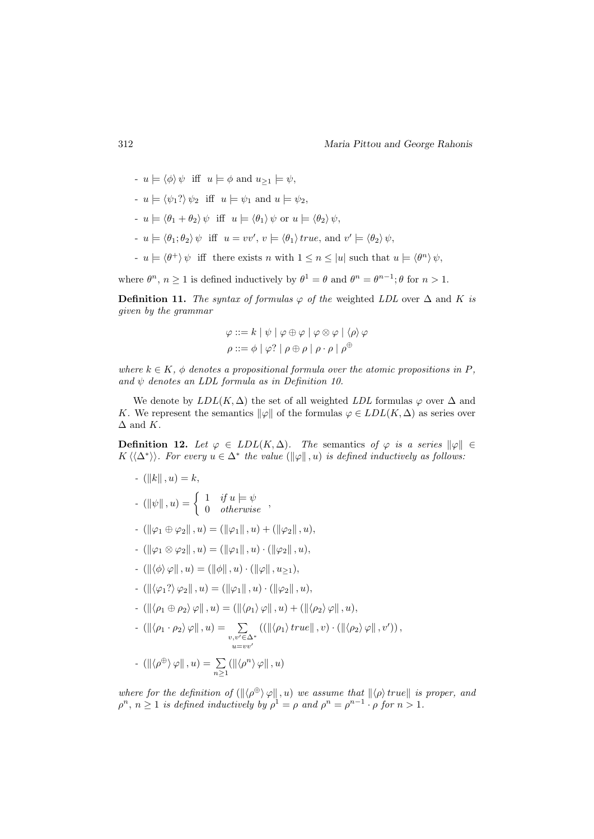- 
$$
u \models \langle \phi \rangle \psi
$$
 iff  $u \models \phi$  and  $u_{\geq 1} \models \psi$ ,

- $u = \langle \psi_1? \rangle \psi_2$  iff  $u = \psi_1$  and  $u = \psi_2$ ,
- $u = \langle \theta_1 + \theta_2 \rangle \psi$  iff  $u = \langle \theta_1 \rangle \psi$  or  $u = \langle \theta_2 \rangle \psi$ ,
- $-u \models \langle \theta_1, \theta_2 \rangle \psi \text{ iff } u = vv', v \models \langle \theta_1 \rangle \text{ true, and } v' \models \langle \theta_2 \rangle \psi,$
- $-u \models \langle \theta^+ \rangle \psi$  iff there exists n with  $1 \leq n \leq |u|$  such that  $u \models \langle \theta^n \rangle \psi$ ,

where  $\theta^n$ ,  $n \ge 1$  is defined inductively by  $\theta^1 = \theta$  and  $\theta^n = \theta^{n-1}$ ;  $\theta$  for  $n > 1$ .

**Definition 11.** The syntax of formulas  $\varphi$  of the weighted LDL over  $\Delta$  and K is given by the grammar

$$
\varphi ::= k | \psi | \varphi \oplus \varphi | \varphi \otimes \varphi | \langle \rho \rangle \varphi
$$
  

$$
\rho ::= \phi | \varphi? | \rho \oplus \rho | \rho \cdot \rho | \rho^{\oplus}
$$

where  $k \in K$ ,  $\phi$  denotes a propositional formula over the atomic propositions in P, and  $\psi$  denotes an LDL formula as in Definition 10.

We denote by  $LDL(K, \Delta)$  the set of all weighted LDL formulas  $\varphi$  over  $\Delta$  and K. We represent the semantics  $\|\varphi\|$  of the formulas  $\varphi \in LDL(K,\Delta)$  as series over  $\Delta$  and K.

**Definition 12.** Let  $\varphi \in LDL(K,\Delta)$ . The semantics of  $\varphi$  is a series  $\|\varphi\| \in$  $K \langle \langle \Delta^* \rangle \rangle$ . For every  $u \in \Delta^*$  the value  $(\|\varphi\|, u)$  is defined inductively as follows:

- (||k||, u) = k,  
\n- (||
$$
\psi
$$
||, u) =  $\begin{cases} 1 & \text{if } u \models \psi \\ 0 & \text{otherwise} \end{cases}$ ,  
\n- (|| $\varphi_1 \oplus \varphi_2$ ||, u) = (|| $\varphi_1$ ||, u) + (|| $\varphi_2$ ||, u),  
\n- (|| $\varphi_1 \otimes \varphi_2$ ||, u) = (|| $\varphi_1$ ||, u) · (|| $\varphi_2$ ||, u),  
\n- (|| $\langle \phi \rangle \varphi$ ||, u) = (|| $\phi$ ||, u) · (|| $\varphi$ ||, u<sub>21</sub>),  
\n- (|| $\langle \varphi_1$ ? $\varphi_2$ ||, u) = (|| $\varphi_1$ ||, u) · (|| $\varphi_2$ ||, u),  
\n- (|| $\langle \rho_1 \oplus \rho_2 \rangle \varphi$ ||, u) = (|| $\langle \rho_1 \rangle \varphi$ ||, u) + (|| $\langle \rho_2 \rangle \varphi$ ||, u),  
\n- (|| $\langle \rho_1 \cdot \rho_2 \rangle \varphi$ ||, u) =  $\sum_{\substack{v,v' \in \Delta^* \\ u = vv'}} ((|| $\langle \rho_1 \rangle$  true||, v) · (|| $\langle \rho_2 \rangle \varphi$ ||, v')),  
\n- (|| $\langle \rho \oplus \rangle \varphi$ ||, u) =  $\sum_{n \ge 1}$  (|| $\langle \rho^n \rangle \varphi$ ||, u)$ 

where for the definition of  $(\langle \phi^{\oplus} \rangle \varphi | \cdot, u)$  we assume that  $\langle \phi \rangle$  true is proper, and  $\rho^n$ ,  $n \geq 1$  is defined inductively by  $\rho^1 = \rho$  and  $\rho^n = \rho^{n-1} \cdot \rho$  for  $n > 1$ .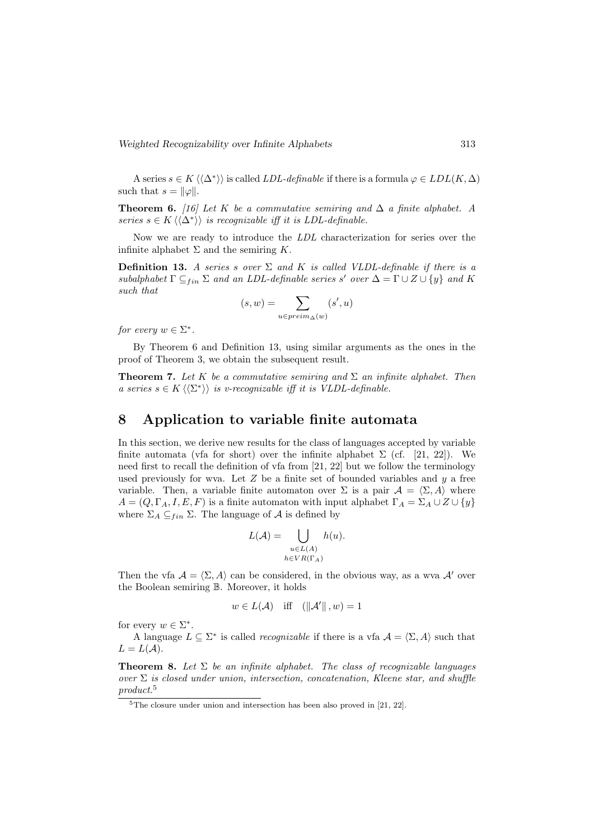A series  $s \in K \langle \langle \Delta^* \rangle \rangle$  is called *LDL-definable* if there is a formula  $\varphi \in LDL(K, \Delta)$ such that  $s = ||\varphi||$ .

**Theorem 6.** [16] Let K be a commutative semiring and  $\Delta$  a finite alphabet. A series  $s \in K \langle \langle \Delta^* \rangle \rangle$  is recognizable iff it is LDL-definable.

Now we are ready to introduce the LDL characterization for series over the infinite alphabet  $\Sigma$  and the semiring K.

**Definition 13.** A series s over  $\Sigma$  and K is called VLDL-definable if there is a subalphabet  $\Gamma \subseteq_{fin} \Sigma$  and an LDL-definable series s' over  $\Delta = \Gamma \cup Z \cup \{y\}$  and K such that

$$
(s, w) = \sum_{u \in \text{preim}_{\Delta}(w)} (s', u)
$$

for every  $w \in \Sigma^*$ .

By Theorem 6 and Definition 13, using similar arguments as the ones in the proof of Theorem 3, we obtain the subsequent result.

**Theorem 7.** Let K be a commutative semiring and  $\Sigma$  an infinite alphabet. Then a series  $s \in K \langle \langle \Sigma^* \rangle \rangle$  is v-recognizable iff it is VLDL-definable.

### 8 Application to variable finite automata

In this section, we derive new results for the class of languages accepted by variable finite automata (vfa for short) over the infinite alphabet  $\Sigma$  (cf. [21, 22]). We need first to recall the definition of vfa from [21, 22] but we follow the terminology used previously for wva. Let  $Z$  be a finite set of bounded variables and  $y$  a free variable. Then, a variable finite automaton over  $\Sigma$  is a pair  $\mathcal{A} = \langle \Sigma, A \rangle$  where  $A = (Q, \Gamma_A, I, E, F)$  is a finite automaton with input alphabet  $\Gamma_A = \Sigma_A \cup Z \cup \{y\}$ where  $\Sigma_A \subseteq_{fin} \Sigma$ . The language of A is defined by

$$
L(\mathcal{A}) = \bigcup_{\substack{u \in L(\mathcal{A}) \\ h \in VR(\Gamma_A)}} h(u).
$$

Then the vfa  $A = \langle \Sigma, A \rangle$  can be considered, in the obvious way, as a wva A' over the Boolean semiring B. Moreover, it holds

$$
w \in L(\mathcal{A})
$$
 iff  $(\|\mathcal{A}'\|, w) = 1$ 

for every  $w \in \Sigma^*$ .

A language  $L \subseteq \Sigma^*$  is called *recognizable* if there is a vfa  $\mathcal{A} = \langle \Sigma, A \rangle$  such that  $L = L(A).$ 

**Theorem 8.** Let  $\Sigma$  be an infinite alphabet. The class of recognizable languages over  $\Sigma$  is closed under union, intersection, concatenation, Kleene star, and shuffle product.<sup>5</sup>

 $5$ The closure under union and intersection has been also proved in [21, 22].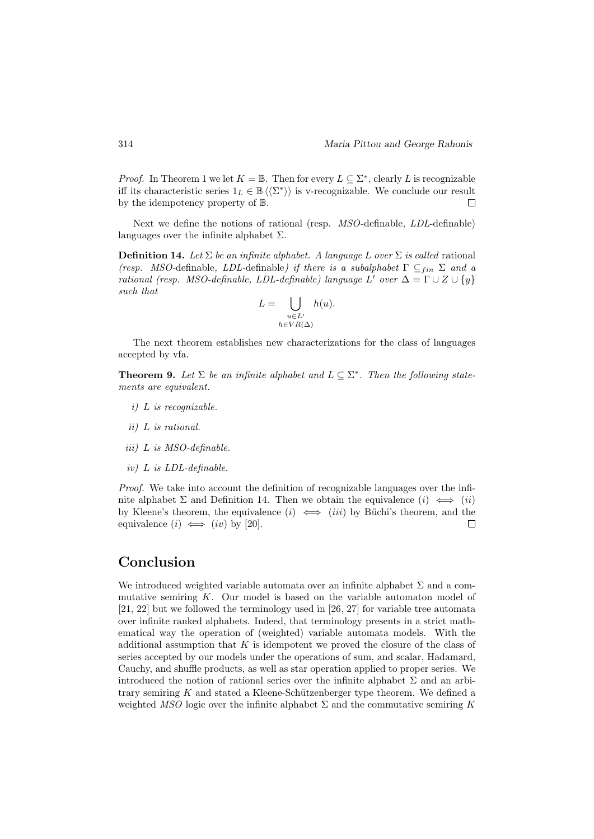*Proof.* In Theorem 1 we let  $K = \mathbb{B}$ . Then for every  $L \subseteq \Sigma^*$ , clearly L is recognizable iff its characteristic series  $1_L \in \mathbb{B} \langle \langle \Sigma^* \rangle \rangle$  is v-recognizable. We conclude our result by the idempotency property of B.  $\Box$ 

Next we define the notions of rational (resp. MSO-definable, LDL-definable) languages over the infinite alphabet  $\Sigma$ .

**Definition 14.** Let  $\Sigma$  be an infinite alphabet. A language L over  $\Sigma$  is called rational (resp. MSO-definable, LDL-definable) if there is a subalphabet  $\Gamma \subseteq_{fin} \Sigma$  and a rational (resp. MSO-definable, LDL-definable) language L'over  $\Delta = \Gamma \cup Z \cup \{y\}$ such that

$$
L = \bigcup_{\substack{u \in L' \\ h \in VR(\Delta)}} h(u).
$$

The next theorem establishes new characterizations for the class of languages accepted by vfa.

**Theorem 9.** Let  $\Sigma$  be an infinite alphabet and  $L \subseteq \Sigma^*$ . Then the following statements are equivalent.

- i) L is recognizable.
- ii) L is rational.
- iii) L is MSO-definable.
- iv) L is LDL-definable.

Proof. We take into account the definition of recognizable languages over the infinite alphabet  $\Sigma$  and Definition 14. Then we obtain the equivalence  $(i) \iff (ii)$ by Kleene's theorem, the equivalence  $(i) \iff (iii)$  by Büchi's theorem, and the equivalence  $(i) \iff (iv)$  by [20].  $\Box$ 

## Conclusion

We introduced weighted variable automata over an infinite alphabet  $\Sigma$  and a commutative semiring  $K$ . Our model is based on the variable automaton model of [21, 22] but we followed the terminology used in [26, 27] for variable tree automata over infinite ranked alphabets. Indeed, that terminology presents in a strict mathematical way the operation of (weighted) variable automata models. With the additional assumption that  $K$  is idempotent we proved the closure of the class of series accepted by our models under the operations of sum, and scalar, Hadamard, Cauchy, and shuffle products, as well as star operation applied to proper series. We introduced the notion of rational series over the infinite alphabet  $\Sigma$  and an arbitrary semiring  $K$  and stated a Kleene-Schützenberger type theorem. We defined a weighted MSO logic over the infinite alphabet  $\Sigma$  and the commutative semiring K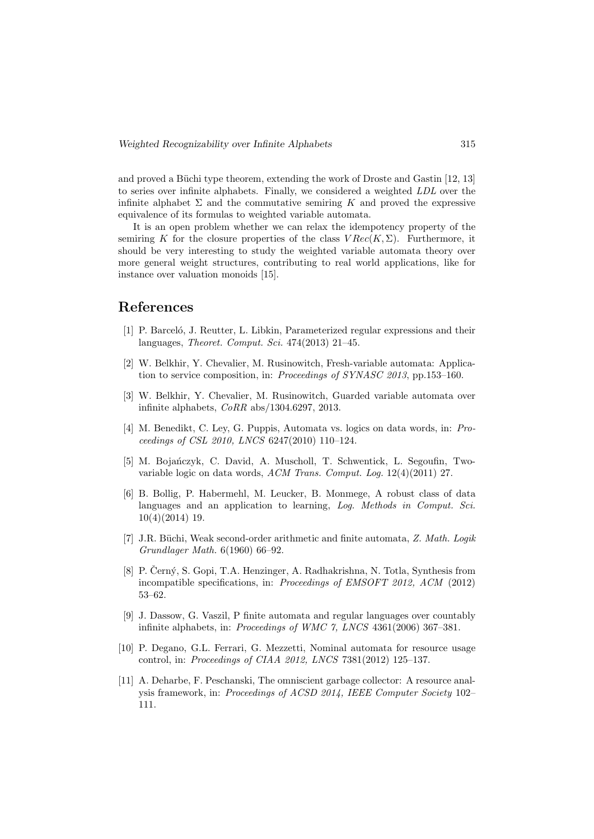and proved a Büchi type theorem, extending the work of Droste and Gastin  $[12, 13]$ to series over infinite alphabets. Finally, we considered a weighted LDL over the infinite alphabet  $\Sigma$  and the commutative semiring K and proved the expressive equivalence of its formulas to weighted variable automata.

It is an open problem whether we can relax the idempotency property of the semiring K for the closure properties of the class  $VRec(K,\Sigma)$ . Furthermore, it should be very interesting to study the weighted variable automata theory over more general weight structures, contributing to real world applications, like for instance over valuation monoids [15].

## References

- [1] P. Barceló, J. Reutter, L. Libkin, Parameterized regular expressions and their languages, Theoret. Comput. Sci. 474(2013) 21–45.
- [2] W. Belkhir, Y. Chevalier, M. Rusinowitch, Fresh-variable automata: Application to service composition, in: Proceedings of SYNASC 2013, pp.153–160.
- [3] W. Belkhir, Y. Chevalier, M. Rusinowitch, Guarded variable automata over infinite alphabets, CoRR abs/1304.6297, 2013.
- [4] M. Benedikt, C. Ley, G. Puppis, Automata vs. logics on data words, in: Proceedings of CSL 2010, LNCS 6247(2010) 110–124.
- [5] M. Bojańczyk, C. David, A. Muscholl, T. Schwentick, L. Segoufin, Twovariable logic on data words, ACM Trans. Comput. Log. 12(4)(2011) 27.
- [6] B. Bollig, P. Habermehl, M. Leucker, B. Monmege, A robust class of data languages and an application to learning, Log. Methods in Comput. Sci. 10(4)(2014) 19.
- [7] J.R. Büchi, Weak second-order arithmetic and finite automata, Z. Math. Logik Grundlager Math. 6(1960) 66–92.
- [8] P. Černý, S. Gopi, T.A. Henzinger, A. Radhakrishna, N. Totla, Synthesis from incompatible specifications, in: Proceedings of EMSOFT 2012, ACM (2012) 53–62.
- [9] J. Dassow, G. Vaszil, P finite automata and regular languages over countably infinite alphabets, in: Proceedings of WMC 7, LNCS 4361(2006) 367–381.
- [10] P. Degano, G.L. Ferrari, G. Mezzetti, Nominal automata for resource usage control, in: Proceedings of CIAA 2012, LNCS 7381(2012) 125–137.
- [11] A. Deharbe, F. Peschanski, The omniscient garbage collector: A resource analysis framework, in: Proceedings of ACSD 2014, IEEE Computer Society 102– 111.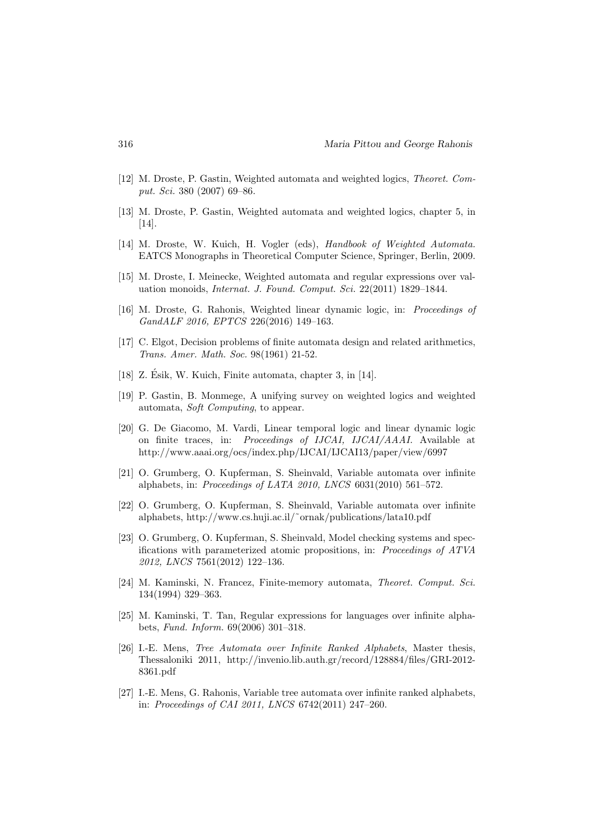- [12] M. Droste, P. Gastin, Weighted automata and weighted logics, Theoret. Comput. Sci. 380 (2007) 69–86.
- [13] M. Droste, P. Gastin, Weighted automata and weighted logics, chapter 5, in [14].
- [14] M. Droste, W. Kuich, H. Vogler (eds), Handbook of Weighted Automata. EATCS Monographs in Theoretical Computer Science, Springer, Berlin, 2009.
- [15] M. Droste, I. Meinecke, Weighted automata and regular expressions over valuation monoids, Internat. J. Found. Comput. Sci. 22(2011) 1829–1844.
- [16] M. Droste, G. Rahonis, Weighted linear dynamic logic, in: Proceedings of GandALF 2016, EPTCS 226(2016) 149–163.
- [17] C. Elgot, Decision problems of finite automata design and related arithmetics, Trans. Amer. Math. Soc. 98(1961) 21-52.
- [18] Z. Esik, W. Kuich, Finite automata, chapter 3, in [14]. ´
- [19] P. Gastin, B. Monmege, A unifying survey on weighted logics and weighted automata, Soft Computing, to appear.
- [20] G. De Giacomo, M. Vardi, Linear temporal logic and linear dynamic logic on finite traces, in: Proceedings of IJCAI, IJCAI/AAAI. Available at http://www.aaai.org/ocs/index.php/IJCAI/IJCAI13/paper/view/6997
- [21] O. Grumberg, O. Kupferman, S. Sheinvald, Variable automata over infinite alphabets, in: Proceedings of LATA 2010, LNCS 6031(2010) 561–572.
- [22] O. Grumberg, O. Kupferman, S. Sheinvald, Variable automata over infinite alphabets, http://www.cs.huji.ac.il/˜ornak/publications/lata10.pdf
- [23] O. Grumberg, O. Kupferman, S. Sheinvald, Model checking systems and specifications with parameterized atomic propositions, in: Proceedings of ATVA 2012, LNCS 7561(2012) 122–136.
- [24] M. Kaminski, N. Francez, Finite-memory automata, Theoret. Comput. Sci. 134(1994) 329–363.
- [25] M. Kaminski, T. Tan, Regular expressions for languages over infinite alphabets, Fund. Inform. 69(2006) 301–318.
- [26] I.-E. Mens, Tree Automata over Infinite Ranked Alphabets, Master thesis, Thessaloniki 2011, http://invenio.lib.auth.gr/record/128884/files/GRI-2012- 8361.pdf
- [27] I.-E. Mens, G. Rahonis, Variable tree automata over infinite ranked alphabets, in: Proceedings of CAI 2011, LNCS 6742(2011) 247–260.